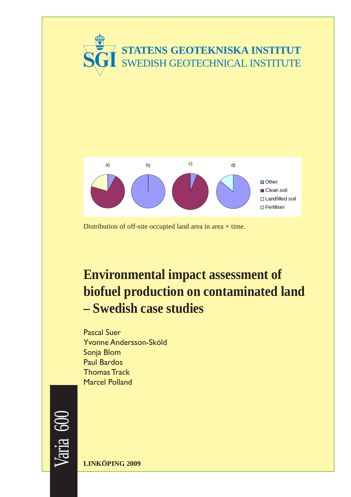



Distribution of off-site occupied land area in area  $\times$  time.

# **Environmental impact assessment of biofuel production on contaminated land – Swedish case studies**

Pascal Suer Yvonne Andersson-Sköld Sonia Blom Paul Bardos Thomas Track Marcel Polland



**LINKÖPING 2009**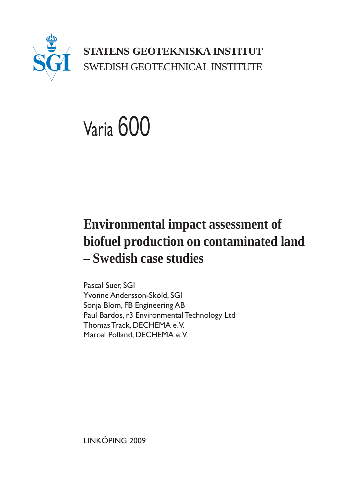

**STATENS GEOTEKNISKA INSTITUT** SWEDISH GEOTECHNICAL INSTITUTE

# Varia 600

# **Environmental impact assessment of biofuel production on contaminated land – Swedish case studies**

Pascal Suer, SGI Yvonne Andersson-Sköld, SGI Sonja Blom, FB Engineering AB Paul Bardos, r3 Environmental Technology Ltd Thomas Track, DECHEMA e.V. Marcel Polland, DECHEMA e. V.

LINKÖPING 2009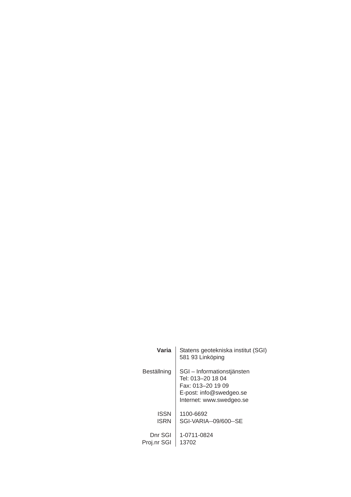| Varia       | Statens geotekniska institut (SGI)<br>581 93 Linköping                                                                      |
|-------------|-----------------------------------------------------------------------------------------------------------------------------|
| Beställning | SGI – Informationstjänsten<br>Tel: 013-20 18 04<br>Fax: 013-20 19 09<br>E-post: info@swedgeo.se<br>Internet: www.swedgeo.se |
| <b>ISSN</b> | 1100-6692                                                                                                                   |
| ISRN        | SGI-VARIA--09/600--SE                                                                                                       |
| Dnr SGI     | 1-0711-0824                                                                                                                 |
| Proj.nr SGI | 13702                                                                                                                       |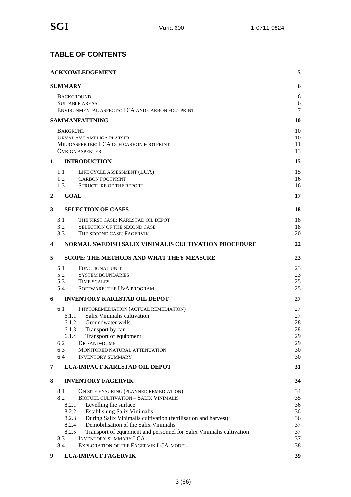#### **TABLE OF CONTENTS**

|                | <b>ACKNOWLEDGEMENT</b>                                                                                               | 5        |
|----------------|----------------------------------------------------------------------------------------------------------------------|----------|
|                | <b>SUMMARY</b>                                                                                                       | 6        |
|                | <b>BACKGROUND</b>                                                                                                    | 6        |
|                | <b>SUITABLE AREAS</b>                                                                                                | 6        |
|                | ENVIRONMENTAL ASPECTS: LCA AND CARBON FOOTPRINT                                                                      | 7        |
|                | <b>SAMMANFATTNING</b>                                                                                                | 10       |
|                | <b>BAKGRUND</b>                                                                                                      | 10       |
|                | URVAL AV LÄMPLIGA PLATSER                                                                                            | 10       |
|                | MILJÖASPEKTER: LCA OCH CARBON FOOTPRINT                                                                              | 11       |
|                | ÖVRIGA ASPEKTER                                                                                                      | 13       |
| 1              | <b>INTRODUCTION</b>                                                                                                  | 15       |
|                | LIFE CYCLE ASSESSMENT (LCA)<br>1.1                                                                                   | 15       |
|                | 1.2<br><b>CARBON FOOTPRINT</b>                                                                                       | 16       |
|                | 1.3<br>STRUCTURE OF THE REPORT                                                                                       | 16       |
| $\overline{2}$ | <b>GOAL</b>                                                                                                          | 17       |
| 3              | <b>SELECTION OF CASES</b>                                                                                            | 18       |
|                | 3.1<br>THE FIRST CASE: KARLSTAD OIL DEPOT                                                                            | 18       |
|                | 3.2<br><b>SELECTION OF THE SECOND CASE</b>                                                                           | 18       |
|                | 3.3<br>THE SECOND CASE: FAGERVIK                                                                                     | 20       |
| 4              | NORMAL SWEDISH SALIX VINIMALIS CULTIVATION PROCEDURE                                                                 | 22       |
| 5              | <b>SCOPE: THE METHODS AND WHAT THEY MEASURE</b>                                                                      | 23       |
|                | 5.1<br><b>FUNCTIONAL UNIT</b>                                                                                        | 23       |
|                | 5.2<br><b>SYSTEM BOUNDARIES</b>                                                                                      | 23       |
|                | 5.3<br><b>TIME SCALES</b>                                                                                            | 25       |
|                | 5.4<br>SOFTWARE: THE UVA PROGRAM                                                                                     | 25       |
| 6              | <b>INVENTORY KARLSTAD OIL DEPOT</b>                                                                                  | 27       |
|                | 6.1<br>PHYTOREMEDIATION (ACTUAL REMEDIATION)                                                                         | 27       |
|                | 6.1.1<br>Salix Vinimalis cultivation                                                                                 | 27       |
|                | 6.1.2<br>Groundwater wells                                                                                           | 28       |
|                | 6.1.3<br>Transport by car                                                                                            | 28       |
|                | 6.1.4<br>Transport of equipment<br>6.2<br>DIG-AND-DUMP                                                               | 29<br>29 |
|                | 6.3<br>MONITORED NATURAL ATTENUATION                                                                                 | 30       |
|                | 6.4<br><b>INVENTORY SUMMARY</b>                                                                                      | 30       |
| 7              | <b>LCA-IMPACT KARLSTAD OIL DEPOT</b>                                                                                 | 31       |
| 8              | <b>INVENTORY FAGERVIK</b>                                                                                            | 34       |
|                | 8.1<br>ON SITE ENSURING (PLANNED REMEDIATION)                                                                        | 34       |
|                | 8.2<br><b>BIOFUEL CULTIVATION - SALIX VINIMALIS</b>                                                                  | 35       |
|                | 8.2.1<br>Levelling the surface                                                                                       | 36       |
|                | 8.2.2<br><b>Establishing Salix Vinimalis</b>                                                                         | 36       |
|                | 8.2.3<br>During Salix Vinimalis cultivation (fertilisation and harvest):                                             | 36       |
|                | Demobilisation of the Salix Vinimalis<br>8.2.4                                                                       | 37       |
|                | 8.2.5<br>Transport of equipment and personnel for Salix Vinimalis cultivation<br>8.3<br><b>INVENTORY SUMMARY LCA</b> | 37<br>37 |
|                | 8.4<br>EXPLORATION OF THE FAGERVIK LCA-MODEL                                                                         | 38       |
| 9              | <b>LCA-IMPACT FAGERVIK</b>                                                                                           | 39       |
|                |                                                                                                                      |          |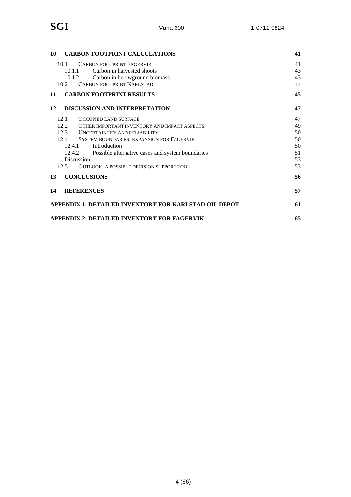| <b>CARBON FOOTPRINT CALCULATIONS</b><br>10                   | 41 |
|--------------------------------------------------------------|----|
| 10.1<br><b>CARBON FOOTPRINT FAGERVIK</b>                     | 41 |
| 10.1.1<br>Carbon in harvested shoots                         | 43 |
| Carbon in belowground biomass<br>10.1.2                      | 43 |
| <b>CARBON FOOTPRINT KARLSTAD</b><br>10.2                     | 44 |
| <b>CARBON FOOTPRINT RESULTS</b><br>11                        | 45 |
| <b>DISCUSSION AND INTERPRETATION</b><br>12                   | 47 |
| 12.1<br><b>OCCUPIED LAND SURFACE</b>                         | 47 |
| 12.2<br>OTHER IMPORTANT INVENTORY AND IMPACT ASPECTS         | 49 |
| 12.3 UNCERTAINTIES AND RELIABILITY                           | 50 |
| 12.4 SYSTEM BOUNDARIES: EXPANSION FOR FAGERVIK               | 50 |
| 12.4.1<br>Introduction                                       | 50 |
| 12.4.2<br>Possible alternative cases and system boundaries   | 51 |
| Discussion                                                   | 53 |
| 12.5<br>OUTLOOK: A POSSIBLE DECISION SUPPORT TOOL            | 53 |
| <b>CONCLUSIONS</b><br>13                                     | 56 |
| <b>REFERENCES</b><br>14                                      | 57 |
| <b>APPENDIX 1: DETAILED INVENTORY FOR KARLSTAD OIL DEPOT</b> | 61 |
| <b>APPENDIX 2: DETAILED INVENTORY FOR FAGERVIK</b>           | 65 |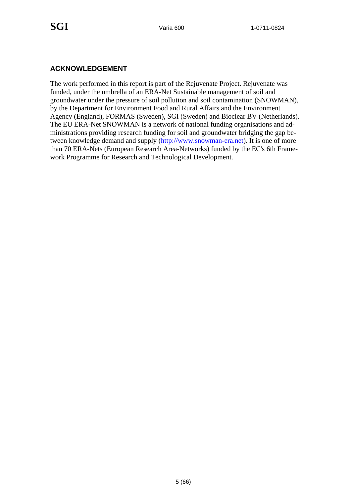#### **ACKNOWLEDGEMENT**

The work performed in this report is part of the Rejuvenate Project. Rejuvenate was funded, under the umbrella of an ERA-Net Sustainable management of soil and groundwater under the pressure of soil pollution and soil contamination (SNOWMAN), by the Department for Environment Food and Rural Affairs and the Environment Agency (England), FORMAS (Sweden), SGI (Sweden) and Bioclear BV (Netherlands). The EU ERA-Net SNOWMAN is a network of national funding organisations and administrations providing research funding for soil and groundwater bridging the gap between knowledge demand and supply (http://www.snowman-era.net). It is one of more than 70 ERA-Nets (European Research Area-Networks) funded by the EC's 6th Framework Programme for Research and Technological Development.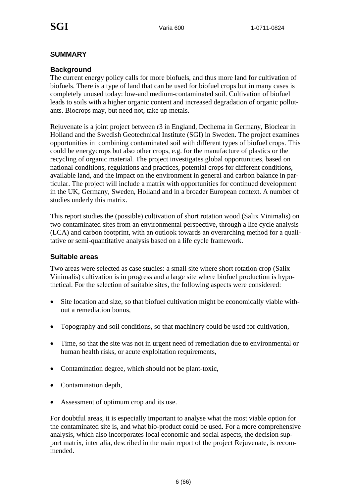#### **SUMMARY**

#### **Background**

The current energy policy calls for more biofuels, and thus more land for cultivation of biofuels. There is a type of land that can be used for biofuel crops but in many cases is completely unused today: low-and medium-contaminated soil. Cultivation of biofuel leads to soils with a higher organic content and increased degradation of organic pollutants. Biocrops may, but need not, take up metals.

Rejuvenate is a joint project between r3 in England, Dechema in Germany, Bioclear in Holland and the Swedish Geotechnical Institute (SGI) in Sweden. The project examines opportunities in combining contaminated soil with different types of biofuel crops. This could be energycrops but also other crops, e.g. for the manufacture of plastics or the recycling of organic material. The project investigates global opportunities, based on national conditions, regulations and practices, potential crops for different conditions, available land, and the impact on the environment in general and carbon balance in particular. The project will include a matrix with opportunities for continued development in the UK, Germany, Sweden, Holland and in a broader European context. A number of studies underly this matrix.

This report studies the (possible) cultivation of short rotation wood (Salix Vinimalis) on two contaminated sites from an environmental perspective, through a life cycle analysis (LCA) and carbon footprint, with an outlook towards an overarching method for a qualitative or semi-quantitative analysis based on a life cycle framework.

#### **Suitable areas**

Two areas were selected as case studies: a small site where short rotation crop (Salix Vinimalis) cultivation is in progress and a large site where biofuel production is hypothetical. For the selection of suitable sites, the following aspects were considered:

- Site location and size, so that biofuel cultivation might be economically viable without a remediation bonus,
- Topography and soil conditions, so that machinery could be used for cultivation,
- Time, so that the site was not in urgent need of remediation due to environmental or human health risks, or acute exploitation requirements,
- Contamination degree, which should not be plant-toxic,
- Contamination depth,
- Assessment of optimum crop and its use.

For doubtful areas, it is especially important to analyse what the most viable option for the contaminated site is, and what bio-product could be used. For a more comprehensive analysis, which also incorporates local economic and social aspects, the decision support matrix, inter alia, described in the main report of the project Rejuvenate, is recommended.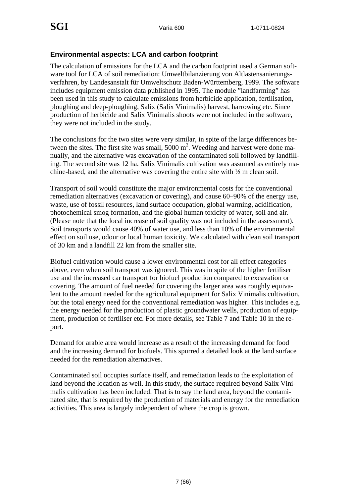#### **Environmental aspects: LCA and carbon footprint**

The calculation of emissions for the LCA and the carbon footprint used a German software tool for LCA of soil remediation: Umweltbilanzierung von Altlastensanierungsverfahren, by Landesanstalt für Umweltschutz Baden-Württemberg, 1999. The software includes equipment emission data published in 1995. The module "landfarming" has been used in this study to calculate emissions from herbicide application, fertilisation, ploughing and deep-ploughing, Salix (Salix Vinimalis) harvest, harrowing etc. Since production of herbicide and Salix Vinimalis shoots were not included in the software, they were not included in the study.

The conclusions for the two sites were very similar, in spite of the large differences between the sites. The first site was small,  $5000 \text{ m}^2$ . Weeding and harvest were done manually, and the alternative was excavation of the contaminated soil followed by landfilling. The second site was 12 ha. Salix Vinimalis cultivation was assumed as entirely machine-based, and the alternative was covering the entire site with ½ m clean soil.

Transport of soil would constitute the major environmental costs for the conventional remediation alternatives (excavation or covering), and cause 60–90% of the energy use, waste, use of fossil resources, land surface occupation, global warming, acidification, photochemical smog formation, and the global human toxicity of water, soil and air. (Please note that the local increase of soil quality was not included in the assessment). Soil transports would cause 40% of water use, and less than 10% of the environmental effect on soil use, odour or local human toxicity. We calculated with clean soil transport of 30 km and a landfill 22 km from the smaller site.

Biofuel cultivation would cause a lower environmental cost for all effect categories above, even when soil transport was ignored. This was in spite of the higher fertiliser use and the increased car transport for biofuel production compared to excavation or covering. The amount of fuel needed for covering the larger area was roughly equivalent to the amount needed for the agricultural equipment for Salix Vinimalis cultivation, but the total energy need for the conventional remediation was higher. This includes e.g. the energy needed for the production of plastic groundwater wells, production of equipment, production of fertiliser etc. For more details, see Table 7 and Table 10 in the report.

Demand for arable area would increase as a result of the increasing demand for food and the increasing demand for biofuels. This spurred a detailed look at the land surface needed for the remediation alternatives.

Contaminated soil occupies surface itself, and remediation leads to the exploitation of land beyond the location as well. In this study, the surface required beyond Salix Vinimalis cultivation has been included. That is to say the land area, beyond the contaminated site, that is required by the production of materials and energy for the remediation activities. This area is largely independent of where the crop is grown.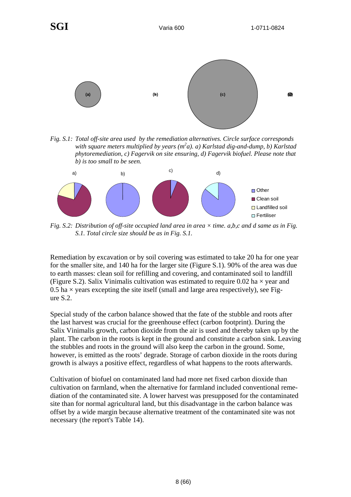

*Fig. S.1: Total off-site area used by the remediation alternatives. Circle surface corresponds*  with square meters multiplied by years (m<sup>2</sup>a). a) Karlstad dig-and-dump, b) Karlstad *phytoremediation, c) Fagervik on site ensuring, d) Fagervik biofuel. Please note that b) is too small to be seen.* 



*Fig. S.2: Distribution of off-site occupied land area in area × time. a,b,c and d same as in Fig. S.1. Total circle size should be as in Fig. S.1.* 

Remediation by excavation or by soil covering was estimated to take 20 ha for one year for the smaller site, and 140 ha for the larger site (Figure S.1). 90% of the area was due to earth masses: clean soil for refilling and covering, and contaminated soil to landfill (Figure S.2). Salix Vinimalis cultivation was estimated to require 0.02 ha  $\times$  year and  $0.5$  ha  $\times$  years excepting the site itself (small and large area respectively), see Figure S.2.

Special study of the carbon balance showed that the fate of the stubble and roots after the last harvest was crucial for the greenhouse effect (carbon footprint). During the Salix Vinimalis growth, carbon dioxide from the air is used and thereby taken up by the plant. The carbon in the roots is kept in the ground and constitute a carbon sink. Leaving the stubbles and roots in the ground will also keep the carbon in the ground. Some, however, is emitted as the roots' degrade. Storage of carbon dioxide in the roots during growth is always a positive effect, regardless of what happens to the roots afterwards.

Cultivation of biofuel on contaminated land had more net fixed carbon dioxide than cultivation on farmland, when the alternative for farmland included conventional remediation of the contaminated site. A lower harvest was presupposed for the contaminated site than for normal agricultural land, but this disadvantage in the carbon balance was offset by a wide margin because alternative treatment of the contaminated site was not necessary (the report's Table 14).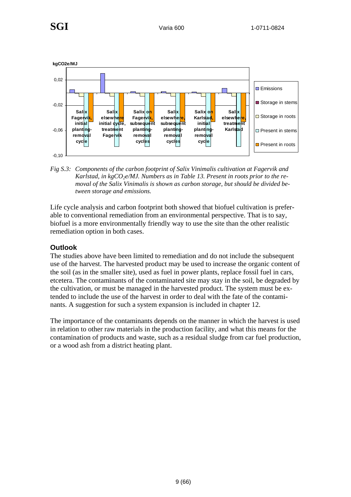

*Fig S.3: Components of the carbon footprint of Salix Vinimalis cultivation at Fagervik and*  Karlstad, in kgCO<sub>2</sub>e/MJ. Numbers as in Table 13. Present in roots prior to the re*moval of the Salix Vinimalis is shown as carbon storage, but should be divided between storage and emissions.* 

Life cycle analysis and carbon footprint both showed that biofuel cultivation is preferable to conventional remediation from an environmental perspective. That is to say, biofuel is a more environmentally friendly way to use the site than the other realistic remediation option in both cases.

#### **Outlook**

The studies above have been limited to remediation and do not include the subsequent use of the harvest. The harvested product may be used to increase the organic content of the soil (as in the smaller site), used as fuel in power plants, replace fossil fuel in cars, etcetera. The contaminants of the contaminated site may stay in the soil, be degraded by the cultivation, or must be managed in the harvested product. The system must be extended to include the use of the harvest in order to deal with the fate of the contaminants. A suggestion for such a system expansion is included in chapter 12.

The importance of the contaminants depends on the manner in which the harvest is used in relation to other raw materials in the production facility, and what this means for the contamination of products and waste, such as a residual sludge from car fuel production, or a wood ash from a district heating plant.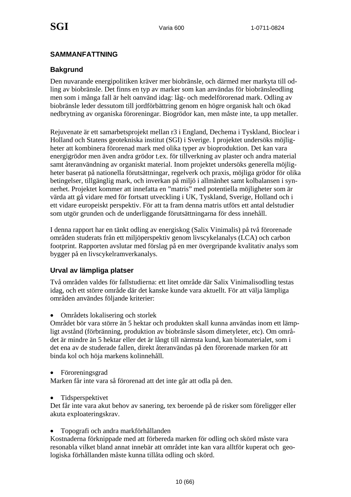#### **SAMMANFATTNING**

#### **Bakgrund**

Den nuvarande energipolitiken kräver mer biobränsle, och därmed mer markyta till odling av biobränsle. Det finns en typ av marker som kan användas för biobränsleodling men som i många fall är helt oanvänd idag: låg- och medelförorenad mark. Odling av biobränsle leder dessutom till jordförbättring genom en högre organisk halt och ökad nedbrytning av organiska föroreningar. Biogrödor kan, men måste inte, ta upp metaller.

Rejuvenate är ett samarbetsprojekt mellan r3 i England, Dechema i Tyskland, Bioclear i Holland och Statens geotekniska institut (SGI) i Sverige. I projektet undersöks möjligheter att kombinera förorenad mark med olika typer av bioproduktion. Det kan vara energigrödor men även andra grödor t.ex. för tillverkning av plaster och andra material samt återanvändning av organiskt material. Inom projektet undersöks generella möjligheter baserat på nationella förutsättningar, regelverk och praxis, möjliga grödor för olika betingelser, tillgänglig mark, och inverkan på miljö i allmänhet samt kolbalansen i synnerhet. Projektet kommer att innefatta en "matris" med potentiella möjligheter som är värda att gå vidare med för fortsatt utveckling i UK, Tyskland, Sverige, Holland och i ett vidare europeiskt perspektiv. För att ta fram denna matris utförs ett antal delstudier som utgör grunden och de underliggande förutsättningarna för dess innehåll.

I denna rapport har en tänkt odling av energiskog (Salix Vinimalis) på två förorenade områden studerats från ett miljöperspektiv genom livscykelanalys (LCA) och carbon footprint. Rapporten avslutar med förslag på en mer övergripande kvalitativ analys som bygger på en livscykelramverkanalys.

#### **Urval av lämpliga platser**

Två områden valdes för fallstudierna: ett litet område där Salix Vinimalisodling testas idag, och ett större område där det kanske kunde vara aktuellt. För att välja lämpliga områden användes följande kriterier:

• Områdets lokalisering och storlek

Området bör vara större än 5 hektar och produkten skall kunna användas inom ett lämpligt avstånd (förbränning, produktion av biobränsle såsom dimetyleter, etc). Om området är mindre än 5 hektar eller det är långt till närmsta kund, kan biomaterialet, som i det ena av de studerade fallen, direkt återanvändas på den förorenade marken för att binda kol och höja markens kolinnehåll.

#### • Föroreningsgrad

Marken får inte vara så förorenad att det inte går att odla på den.

• Tidsperspektivet

Det får inte vara akut behov av sanering, tex beroende på de risker som föreligger eller akuta exploateringskrav.

• Topografi och andra markförhållanden

Kostnaderna förknippade med att förbereda marken för odling och skörd måste vara resonabla vilket bland annat innebär att området inte kan vara alltför kuperat och geologiska förhållanden måste kunna tillåta odling och skörd.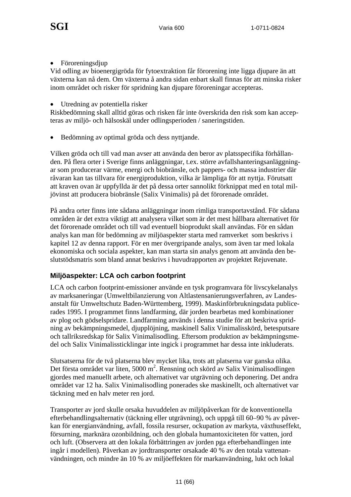• Föroreningsdjup

Vid odling av bioenergigröda för fytoextraktion får förorening inte ligga djupare än att växterna kan nå dem. Om växterna å andra sidan enbart skall finnas för att minska risker inom området och risker för spridning kan djupare föroreningar accepteras.

• Utredning av potentiella risker

Riskbedömning skall alltid göras och risken får inte överskrida den risk som kan accepteras av miljö- och hälsoskäl under odlingsperioden / saneringstiden.

• Bedömning av optimal gröda och dess nyttjande.

Vilken gröda och till vad man avser att använda den beror av platsspecifika förhållanden. På flera orter i Sverige finns anläggningar, t.ex. större avfallshanteringsanläggningar som producerar värme, energi och biobränsle, och pappers- och massa industrier där råvaran kan tas tillvara för energiproduktion, vilka är lämpliga för att nyttja. Förutsatt att kraven ovan är uppfyllda är det på dessa orter sannolikt förknippat med en total miljövinst att producera biobränsle (Salix Vinimalis) på det förorenade området.

På andra orter finns inte sådana anläggningar inom rimliga transportavstånd. För sådana områden är det extra viktigt att analysera vilket som är det mest hållbara alternativet för det förorenade området och till vad eventuell bioprodukt skall användas. För en sådan analys kan man för bedömning av miljöaspekter starta med ramverket som beskrivs i kapitel 12 av denna rapport. För en mer övergripande analys, som även tar med lokala ekonomiska och sociala aspekter, kan man starta sin analys genom att använda den beslutstödsmatris som bland annat beskrivs i huvudrapporten av projektet Rejuvenate.

#### **Miljöaspekter: LCA och carbon footprint**

LCA och carbon footprint-emissioner använde en tysk programvara för livscykelanalys av marksaneringar (Umweltbilanzierung von Altlastensanierungsverfahren, av Landesanstalt für Umweltschutz Baden-Württemberg, 1999). Maskinförbrukningsdata publicerades 1995. I programmet finns landfarming, där jorden bearbetas med kombinationer av plog och gödselspridare. Landfarming används i denna studie för att beskriva spridning av bekämpningsmedel, djupplöjning, maskinell Salix Vinimalisskörd, betesputsare och tallriksredskap för Salix Vinimalisodling. Eftersom produktion av bekämpningsmedel och Salix Vinimalissticklingar inte ingick i programmet har dessa inte inkluderats.

Slutsatserna för de två platserna blev mycket lika, trots att platserna var ganska olika. Det första området var liten, 5000 m<sup>2</sup>. Rensning och skörd av Salix Vinimalisodlingen gjordes med manuellt arbete, och alternativet var utgrävning och deponering. Det andra området var 12 ha. Salix Vinimalisodling ponerades ske maskinellt, och alternativet var täckning med en halv meter ren jord.

Transporter av jord skulle orsaka huvuddelen av miljöpåverkan för de konventionella efterbehandlingsalternativ (täckning eller utgrävning), och uppgå till 60–90 % av påverkan för energianvändning, avfall, fossila resurser, ockupation av markyta, växthuseffekt, försurning, marknära ozonbildning, och den globala humantoxiciteten för vatten, jord och luft. (Observera att den lokala förbättringen av jorden pga efterbehandlingen inte ingår i modellen). Påverkan av jordtransporter orsakade 40 % av den totala vattenanvändningen, och mindre än 10 % av miljöeffekten för markanvändning, lukt och lokal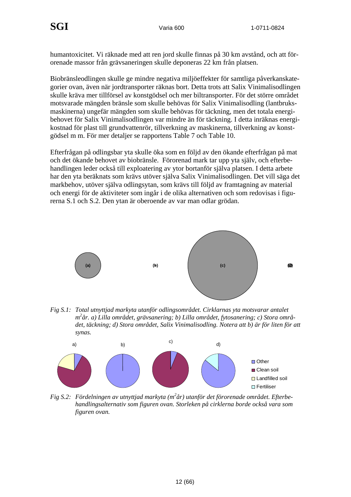humantoxicitet. Vi räknade med att ren jord skulle finnas på 30 km avstånd, och att förorenade massor från grävsaneringen skulle deponeras 22 km från platsen.

Biobränsleodlingen skulle ge mindre negativa miljöeffekter för samtliga påverkanskategorier ovan, även när jordtransporter räknas bort. Detta trots att Salix Vinimalisodlingen skulle kräva mer tillförsel av konstgödsel och mer biltransporter. För det större området motsvarade mängden bränsle som skulle behövas för Salix Vinimalisodling (lantbruksmaskinerna) ungefär mängden som skulle behövas för täckning, men det totala energibehovet för Salix Vinimalisodlingen var mindre än för täckning. I detta inräknas energikostnad för plast till grundvattenrör, tillverkning av maskinerna, tillverkning av konstgödsel m m. För mer detaljer se rapportens Table 7 och Table 10.

Efterfrågan på odlingsbar yta skulle öka som en följd av den ökande efterfrågan på mat och det ökande behovet av biobränsle. Förorenad mark tar upp yta själv, och efterbehandlingen leder också till exploatering av ytor bortanför själva platsen. I detta arbete har den yta beräknats som krävs utöver själva Salix Vinimalisodlingen. Det vill säga det markbehov, utöver själva odlingsytan, som krävs till följd av framtagning av material och energi för de aktiviteter som ingår i de olika alternativen och som redovisas i figurerna S.1 och S.2. Den ytan är oberoende av var man odlar grödan.



*Fig S.1: Total utnyttjad markyta utanför odlingsområdet. Cirklarnas yta motsvarar antalet m 2 år. a) Lilla området, grävsanering; b) Lilla området, fytosanering; c) Stora området, täckning; d) Stora området, Salix Vinimalisodling. Notera att b) är för liten för att synas.* 



Fig S.2: Fördelningen av utnyttjad markyta (m<sup>2</sup>år) utanför det förorenade området. Efterbe*handlingsalternativ som figuren ovan. Storleken på cirklerna borde också vara som figuren ovan.*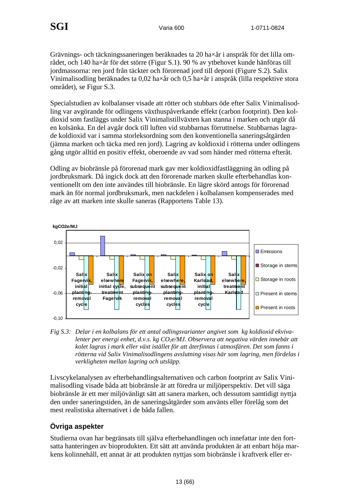Grävnings- och täckningssaneringen beräknades ta 20 ha×år i anspråk för det lilla området, och 140 ha×år för det större (Figur S.1). 90 % av ytbehovet kunde hänföras till jordmassorna: ren jord från täckter och förorenad jord till deponi (Figure S.2). Salix Vinimalisodling beräknades ta 0,02 ha×år och 0,5 ha×år i anspråk (lilla respektive stora området), se Figur S.3.

Specialstudien av kolbalanser visade att rötter och stubbars öde efter Salix Vinimalisodling var avgörande för odlingens växthuspåverkande effekt (carbon footprint). Den koldioxid som fastläggs under Salix Vinimalistillväxten kan stanna i marken och utgör då en kolsänka. En del avgår dock till luften vid stubbarnas förruttnelse. Stubbarnas lagrade koldioxid var i samma storleksordning som den konventionella saneringsåtgärden (jämna marken och täcka med ren jord). Lagring av koldioxid i rötterna under odlingens gång utgör alltid en positiv effekt, oberoende av vad som händer med rötterna efteråt.

Odling av biobränsle på förorenad mark gav mer koldioxidfastläggning än odling på jordbruksmark. Då ingick dock att den förorenade marken skulle efterbehandlas konventionellt om den inte användes till biobränsle. En lägre skörd antogs för förorenad mark än för normal jordbruksmark, men nackdelen i kolbalansen kompenserades med råge av att marken inte skulle saneras (Rapportens Table 13).



*Fig S.3: Delar i en kolbalans för ett antal odlingsvarianter angivet som kg koldioxid ekviva*lenter per energi enhet, d.v.s. kg CO<sub>2</sub>e/MJ. Observera att negativa värden innebär att *kolet lagras i mark eller växt istället för att återfinnas i atmosfären. Det som fanns i rötterna vid Salix Vinimalisodlingens avslutning visas här som lagring, men fördelas i verkligheten mellan lagring och utsläpp.* 

Livscykelanalysen av efterbehandlingsalternativen och carbon footprint av Salix Vinimalisodling visade båda att biobränsle är att föredra ur miljöperspektiv. Det vill säga biobränsle är ett mer miljövänligt sätt att sanera marken, och dessutom samtidigt nyttja den under saneringstiden, än de saneringsåtgärder som använts eller förelåg som det mest realistiska alternativet i de båda fallen.

#### **Övriga aspekter**

Studierna ovan har begränsats till själva efterbehandlingen och innefattar inte den fortsatta hanteringen av bioprodukten. Ett sätt att använda produkten är att enbart höja markens kolinnehåll, ett annat är att produkten nyttjas som biobränsle i kraftverk eller er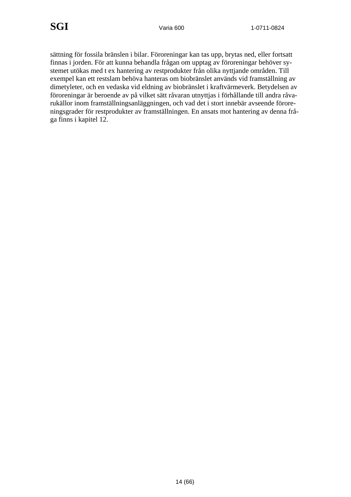sättning för fossila bränslen i bilar. Föroreningar kan tas upp, brytas ned, eller fortsatt finnas i jorden. För att kunna behandla frågan om upptag av föroreningar behöver systemet utökas med t ex hantering av restprodukter från olika nyttjande områden. Till exempel kan ett restslam behöva hanteras om biobränslet används vid framställning av dimetyleter, och en vedaska vid eldning av biobränslet i kraftvärmeverk. Betydelsen av föroreningar är beroende av på vilket sätt råvaran utnyttjas i förhållande till andra råvarukällor inom framställningsanläggningen, och vad det i stort innebär avseende föroreningsgrader för restprodukter av framställningen. En ansats mot hantering av denna fråga finns i kapitel 12.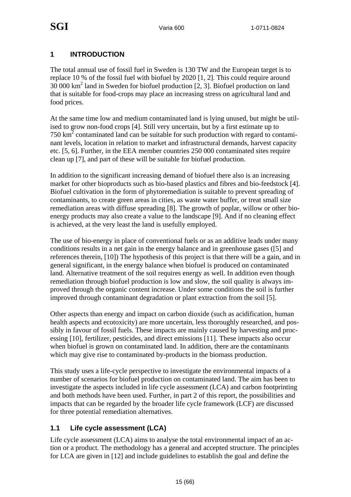#### **1 INTRODUCTION**

The total annual use of fossil fuel in Sweden is 130 TW and the European target is to replace 10 % of the fossil fuel with biofuel by 2020 [1, 2]. This could require around 30 000 km2 land in Sweden for biofuel production [2, 3]. Biofuel production on land that is suitable for food-crops may place an increasing stress on agricultural land and food prices.

At the same time low and medium contaminated land is lying unused, but might be utilised to grow non-food crops [4]. Still very uncertain, but by a first estimate up to  $750 \text{ km}^2$  contaminated land can be suitable for such production with regard to contaminant levels, location in relation to market and infrastructural demands, harvest capacity etc. [5, 6]. Further, in the EEA member countries 250 000 contaminated sites require clean up [7], and part of these will be suitable for biofuel production.

In addition to the significant increasing demand of biofuel there also is an increasing market for other bioproducts such as bio-based plastics and fibres and bio-feedstock [4]. Biofuel cultivation in the form of phytoremediation is suitable to prevent spreading of contaminants, to create green areas in cities, as waste water buffer, or treat small size remediation areas with diffuse spreading [8]. The growth of poplar, willow or other bioenergy products may also create a value to the landscape [9]. And if no cleaning effect is achieved, at the very least the land is usefully employed.

The use of bio-energy in place of conventional fuels or as an additive leads under many conditions results in a net gain in the energy balance and in greenhouse gases ([5] and references therein, [10]) The hypothesis of this project is that there will be a gain, and in general significant, in the energy balance when biofuel is produced on contaminated land. Alternative treatment of the soil requires energy as well. In addition even though remediation through biofuel production is low and slow, the soil quality is always improved through the organic content increase. Under some conditions the soil is further improved through contaminant degradation or plant extraction from the soil [5].

Other aspects than energy and impact on carbon dioxide (such as acidification, human health aspects and ecotoxicity) are more uncertain, less thoroughly researched, and possibly in favour of fossil fuels. These impacts are mainly caused by harvesting and processing [10], fertilizer, pesticides, and direct emissions [11]. These impacts also occur when biofuel is grown on contaminated land. In addition, there are the contaminants which may give rise to contaminated by-products in the biomass production.

This study uses a life-cycle perspective to investigate the environmental impacts of a number of scenarios for biofuel production on contaminated land. The aim has been to investigate the aspects included in life cycle assessment (LCA) and carbon footprinting and both methods have been used. Further, in part 2 of this report, the possibilities and impacts that can be regarded by the broader life cycle framework (LCF) are discussed for three potential remediation alternatives.

#### **1.1 Life cycle assessment (LCA)**

Life cycle assessment (LCA) aims to analyse the total environmental impact of an action or a product. The methodology has a general and accepted structure. The principles for LCA are given in [12] and include guidelines to establish the goal and define the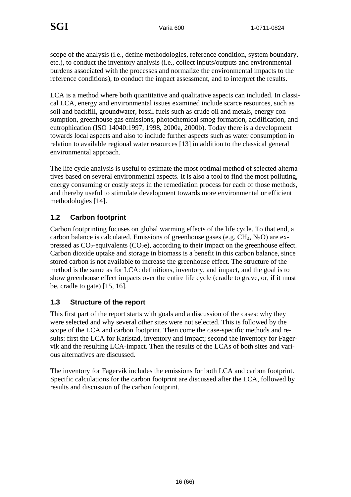scope of the analysis (i.e., define methodologies, reference condition, system boundary, etc.), to conduct the inventory analysis (i.e., collect inputs/outputs and environmental burdens associated with the processes and normalize the environmental impacts to the reference conditions), to conduct the impact assessment, and to interpret the results.

LCA is a method where both quantitative and qualitative aspects can included. In classical LCA, energy and environmental issues examined include scarce resources, such as soil and backfill, groundwater, fossil fuels such as crude oil and metals, energy consumption, greenhouse gas emissions, photochemical smog formation, acidification, and eutrophication (ISO 14040:1997, 1998, 2000a, 2000b). Today there is a development towards local aspects and also to include further aspects such as water consumption in relation to available regional water resources [13] in addition to the classical general environmental approach.

The life cycle analysis is useful to estimate the most optimal method of selected alternatives based on several environmental aspects. It is also a tool to find the most polluting, energy consuming or costly steps in the remediation process for each of those methods, and thereby useful to stimulate development towards more environmental or efficient methodologies [14].

#### **1.2 Carbon footprint**

Carbon footprinting focuses on global warming effects of the life cycle. To that end, a carbon balance is calculated. Emissions of greenhouse gases (e.g.  $CH_4$ ,  $N_2O$ ) are expressed as  $CO_2$ -equivalents  $(CO_2e)$ , according to their impact on the greenhouse effect. Carbon dioxide uptake and storage in biomass is a benefit in this carbon balance, since stored carbon is not available to increase the greenhouse effect. The structure of the method is the same as for LCA: definitions, inventory, and impact, and the goal is to show greenhouse effect impacts over the entire life cycle (cradle to grave, or, if it must be, cradle to gate) [15, 16].

#### **1.3 Structure of the report**

This first part of the report starts with goals and a discussion of the cases: why they were selected and why several other sites were not selected. This is followed by the scope of the LCA and carbon footprint. Then come the case-specific methods and results: first the LCA for Karlstad, inventory and impact; second the inventory for Fagervik and the resulting LCA-impact. Then the results of the LCAs of both sites and various alternatives are discussed.

The inventory for Fagervik includes the emissions for both LCA and carbon footprint. Specific calculations for the carbon footprint are discussed after the LCA, followed by results and discussion of the carbon footprint.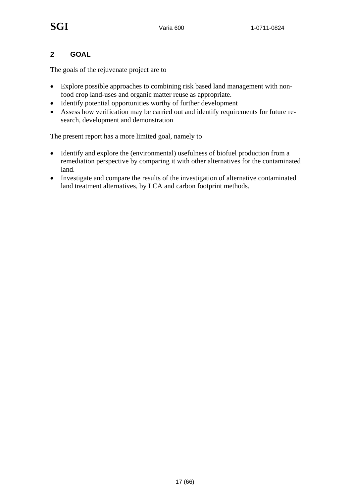#### **2 GOAL**

The goals of the rejuvenate project are to

- Explore possible approaches to combining risk based land management with nonfood crop land-uses and organic matter reuse as appropriate.
- Identify potential opportunities worthy of further development
- Assess how verification may be carried out and identify requirements for future research, development and demonstration

The present report has a more limited goal, namely to

- Identify and explore the (environmental) usefulness of biofuel production from a remediation perspective by comparing it with other alternatives for the contaminated land.
- Investigate and compare the results of the investigation of alternative contaminated land treatment alternatives, by LCA and carbon footprint methods.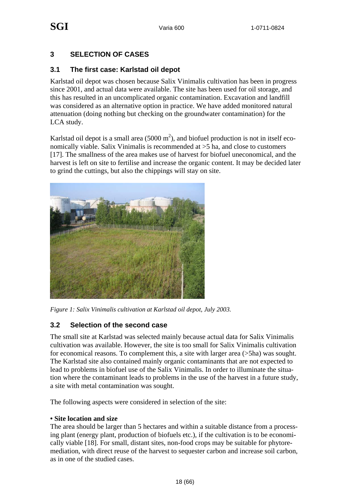#### **3 SELECTION OF CASES**

#### **3.1 The first case: Karlstad oil depot**

Karlstad oil depot was chosen because Salix Vinimalis cultivation has been in progress since 2001, and actual data were available. The site has been used for oil storage, and this has resulted in an uncomplicated organic contamination. Excavation and landfill was considered as an alternative option in practice. We have added monitored natural attenuation (doing nothing but checking on the groundwater contamination) for the LCA study.

Karlstad oil depot is a small area  $(5000 \text{ m}^2)$ , and biofuel production is not in itself economically viable. Salix Vinimalis is recommended at >5 ha, and close to customers [17]. The smallness of the area makes use of harvest for biofuel uneconomical, and the harvest is left on site to fertilise and increase the organic content. It may be decided later to grind the cuttings, but also the chippings will stay on site.



*Figure 1: Salix Vinimalis cultivation at Karlstad oil depot, July 2003.* 

#### **3.2 Selection of the second case**

The small site at Karlstad was selected mainly because actual data for Salix Vinimalis cultivation was available. However, the site is too small for Salix Vinimalis cultivation for economical reasons. To complement this, a site with larger area (>5ha) was sought. The Karlstad site also contained mainly organic contaminants that are not expected to lead to problems in biofuel use of the Salix Vinimalis. In order to illuminate the situation where the contaminant leads to problems in the use of the harvest in a future study, a site with metal contamination was sought.

The following aspects were considered in selection of the site:

#### **• Site location and size**

The area should be larger than 5 hectares and within a suitable distance from a processing plant (energy plant, production of biofuels etc.), if the cultivation is to be economically viable [18]. For small, distant sites, non-food crops may be suitable for phytoremediation, with direct reuse of the harvest to sequester carbon and increase soil carbon, as in one of the studied cases.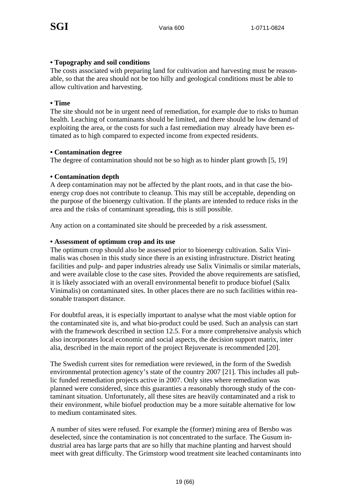#### **• Topography and soil conditions**

The costs associated with preparing land for cultivation and harvesting must be reasonable, so that the area should not be too hilly and geological conditions must be able to allow cultivation and harvesting.

#### **• Time**

The site should not be in urgent need of remediation, for example due to risks to human health. Leaching of contaminants should be limited, and there should be low demand of exploiting the area, or the costs for such a fast remediation may already have been estimated as to high compared to expected income from expected residents.

#### **• Contamination degree**

The degree of contamination should not be so high as to hinder plant growth [5, 19]

#### **• Contamination depth**

A deep contamination may not be affected by the plant roots, and in that case the bioenergy crop does not contribute to cleanup. This may still be acceptable, depending on the purpose of the bioenergy cultivation. If the plants are intended to reduce risks in the area and the risks of contaminant spreading, this is still possible.

Any action on a contaminated site should be preceeded by a risk assessment.

#### **• Assessment of optimum crop and its use**

The optimum crop should also be assessed prior to bioenergy cultivation. Salix Vinimalis was chosen in this study since there is an existing infrastructure. District heating facilities and pulp- and paper industries already use Salix Vinimalis or similar materials, and were available close to the case sites. Provided the above requirements are satisfied, it is likely associated with an overall environmental benefit to produce biofuel (Salix Vinimalis) on contaminated sites. In other places there are no such facilities within reasonable transport distance.

For doubtful areas, it is especially important to analyse what the most viable option for the contaminated site is, and what bio-product could be used. Such an analysis can start with the framework described in section 12.5. For a more comprehensive analysis which also incorporates local economic and social aspects, the decision support matrix, inter alia, described in the main report of the project Rejuvenate is recommended [20].

The Swedish current sites for remediation were reviewed, in the form of the Swedish environmental protection agency's state of the country 2007 [21]. This includes all public funded remediation projects active in 2007. Only sites where remediation was planned were considered, since this guaranties a reasonably thorough study of the contaminant situation. Unfortunately, all these sites are heavily contaminated and a risk to their environment, while biofuel production may be a more suitable alternative for low to medium contaminated sites.

A number of sites were refused. For example the (former) mining area of Bersbo was deselected, since the contamination is not concentrated to the surface. The Gusum industrial area has large parts that are so hilly that machine planting and harvest should meet with great difficulty. The Grimstorp wood treatment site leached contaminants into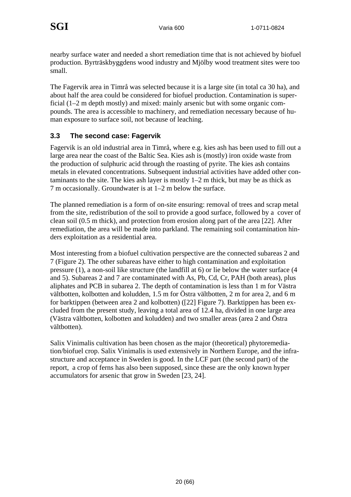nearby surface water and needed a short remediation time that is not achieved by biofuel production. Byrträskbyggdens wood industry and Mjölby wood treatment sites were too small.

The Fagervik area in Timrå was selected because it is a large site (in total ca 30 ha), and about half the area could be considered for biofuel production. Contamination is superficial (1–2 m depth mostly) and mixed: mainly arsenic but with some organic compounds. The area is accessible to machinery, and remediation necessary because of human exposure to surface soil, not because of leaching.

#### **3.3 The second case: Fagervik**

Fagervik is an old industrial area in Timrå, where e.g. kies ash has been used to fill out a large area near the coast of the Baltic Sea. Kies ash is (mostly) iron oxide waste from the production of sulphuric acid through the roasting of pyrite. The kies ash contains metals in elevated concentrations. Subsequent industrial activities have added other contaminants to the site. The kies ash layer is mostly 1–2 m thick, but may be as thick as 7 m occasionally. Groundwater is at 1–2 m below the surface.

The planned remediation is a form of on-site ensuring: removal of trees and scrap metal from the site, redistribution of the soil to provide a good surface, followed by a cover of clean soil (0.5 m thick), and protection from erosion along part of the area [22]. After remediation, the area will be made into parkland. The remaining soil contamination hinders exploitation as a residential area.

Most interesting from a biofuel cultivation perspective are the connected subareas 2 and 7 (Figure 2). The other subareas have either to high contamination and exploitation pressure (1), a non-soil like structure (the landfill at 6) or lie below the water surface (4 and 5). Subareas 2 and 7 are contaminated with As, Pb, Cd, Cr, PAH (both areas), plus aliphates and PCB in subarea 2. The depth of contamination is less than 1 m for Västra vältbotten, kolbotten and koludden, 1.5 m for Östra vältbotten, 2 m for area 2, and 6 m for barktippen (between area 2 and kolbotten) ([22] Figure 7). Barktippen has been excluded from the present study, leaving a total area of 12.4 ha, divided in one large area (Västra vältbotten, kolbotten and koludden) and two smaller areas (area 2 and Östra vältbotten).

Salix Vinimalis cultivation has been chosen as the major (theoretical) phytoremediation/biofuel crop. Salix Vinimalis is used extensively in Northern Europe, and the infrastructure and acceptance in Sweden is good. In the LCF part (the second part) of the report, a crop of ferns has also been supposed, since these are the only known hyper accumulators for arsenic that grow in Sweden [23, 24].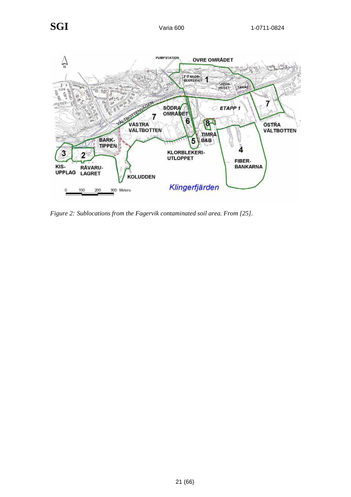

*Figure 2: Sublocations from the Fagervik contaminated soil area. From [25].*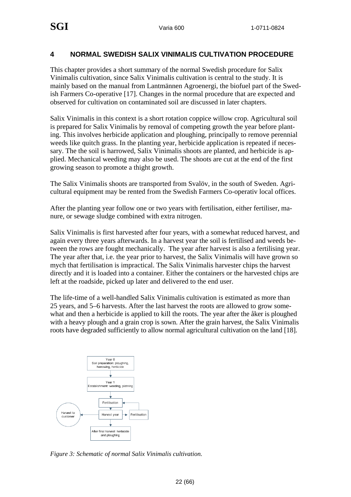#### **4 NORMAL SWEDISH SALIX VINIMALIS CULTIVATION PROCEDURE**

This chapter provides a short summary of the normal Swedish procedure for Salix Vinimalis cultivation, since Salix Vinimalis cultivation is central to the study. It is mainly based on the manual from Lantmännen Agroenergi, the biofuel part of the Swedish Farmers Co-operative [17]. Changes in the normal procedure that are expected and observed for cultivation on contaminated soil are discussed in later chapters.

Salix Vinimalis in this context is a short rotation coppice willow crop. Agricultural soil is prepared for Salix Vinimalis by removal of competing growth the year before planting. This involves herbicide application and ploughing, principally to remove perennial weeds like quitch grass. In the planting year, herbicide application is repeated if necessary. The the soil is harrowed, Salix Vinimalis shoots are planted, and herbicide is applied. Mechanical weeding may also be used. The shoots are cut at the end of the first growing season to promote a thight growth.

The Salix Vinimalis shoots are transported from Svalöv, in the south of Sweden. Agricultural equipment may be rented from the Swedish Farmers Co-operativ local offices.

After the planting year follow one or two years with fertilisation, either fertiliser, manure, or sewage sludge combined with extra nitrogen.

Salix Vinimalis is first harvested after four years, with a somewhat reduced harvest, and again every three years afterwards. In a harvest year the soil is fertilised and weeds between the rows are fought mechanically. The year after harvest is also a fertilising year. The year after that, i.e. the year prior to harvest, the Salix Vinimalis will have grown so mych that fertilisation is impractical. The Salix Vinimalis harvester chips the harvest directly and it is loaded into a container. Either the containers or the harvested chips are left at the roadside, picked up later and delivered to the end user.

The life-time of a well-handled Salix Vinimalis cultivation is estimated as more than 25 years, and 5–6 harvests. After the last harvest the roots are allowed to grow somewhat and then a herbicide is applied to kill the roots. The year after the åker is ploughed with a heavy plough and a grain crop is sown. After the grain harvest, the Salix Vinimalis roots have degraded sufficiently to allow normal agricultural cultivation on the land [18].



*Figure 3: Schematic of normal Salix Vinimalis cultivation.*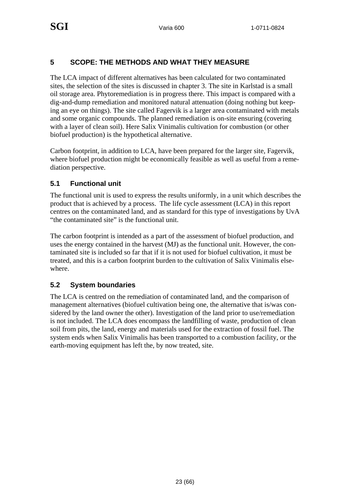#### **5 SCOPE: THE METHODS AND WHAT THEY MEASURE**

The LCA impact of different alternatives has been calculated for two contaminated sites, the selection of the sites is discussed in chapter 3. The site in Karlstad is a small oil storage area. Phytoremediation is in progress there. This impact is compared with a dig-and-dump remediation and monitored natural attenuation (doing nothing but keeping an eye on things). The site called Fagervik is a larger area contaminated with metals and some organic compounds. The planned remediation is on-site ensuring (covering with a layer of clean soil). Here Salix Vinimalis cultivation for combustion (or other biofuel production) is the hypothetical alternative.

Carbon footprint, in addition to LCA, have been prepared for the larger site, Fagervik, where biofuel production might be economically feasible as well as useful from a remediation perspective.

#### **5.1 Functional unit**

The functional unit is used to express the results uniformly, in a unit which describes the product that is achieved by a process. The life cycle assessment (LCA) in this report centres on the contaminated land, and as standard for this type of investigations by UvA "the contaminated site" is the functional unit.

The carbon footprint is intended as a part of the assessment of biofuel production, and uses the energy contained in the harvest (MJ) as the functional unit. However, the contaminated site is included so far that if it is not used for biofuel cultivation, it must be treated, and this is a carbon footprint burden to the cultivation of Salix Vinimalis elsewhere.

#### **5.2 System boundaries**

The LCA is centred on the remediation of contaminated land, and the comparison of management alternatives (biofuel cultivation being one, the alternative that is/was considered by the land owner the other). Investigation of the land prior to use/remediation is not included. The LCA does encompass the landfilling of waste, production of clean soil from pits, the land, energy and materials used for the extraction of fossil fuel. The system ends when Salix Vinimalis has been transported to a combustion facility, or the earth-moving equipment has left the, by now treated, site.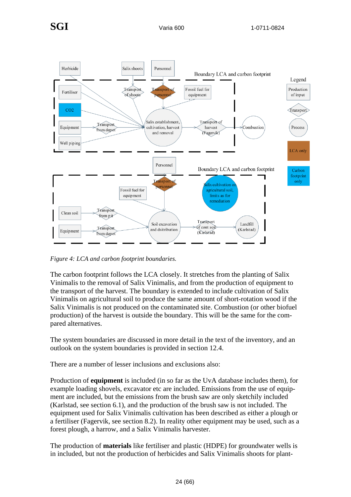

*Figure 4: LCA and carbon footprint boundaries.* 

The carbon footprint follows the LCA closely. It stretches from the planting of Salix Vinimalis to the removal of Salix Vinimalis, and from the production of equipment to the transport of the harvest. The boundary is extended to include cultivation of Salix Vinimalis on agricultural soil to produce the same amount of short-rotation wood if the Salix Vinimalis is not produced on the contaminated site. Combustion (or other biofuel production) of the harvest is outside the boundary. This will be the same for the compared alternatives.

The system boundaries are discussed in more detail in the text of the inventory, and an outlook on the system boundaries is provided in section 12.4.

There are a number of lesser inclusions and exclusions also:

Production of **equipment** is included (in so far as the UvA database includes them), for example loading shovels, excavator etc are included. Emissions from the use of equipment are included, but the emissions from the brush saw are only sketchily included (Karlstad, see section 6.1), and the production of the brush saw is not included. The equipment used for Salix Vinimalis cultivation has been described as either a plough or a fertiliser (Fagervik, see section 8.2). In reality other equipment may be used, such as a forest plough, a harrow, and a Salix Vinimalis harvester.

The production of **materials** like fertiliser and plastic (HDPE) for groundwater wells is in included, but not the production of herbicides and Salix Vinimalis shoots for plant-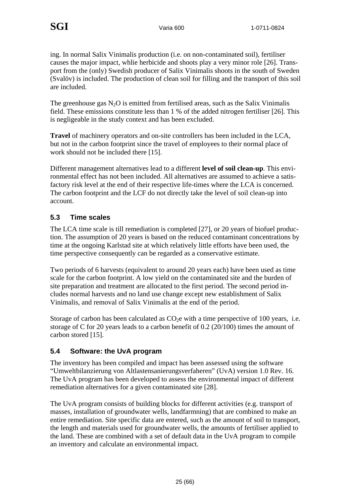ing. In normal Salix Vinimalis production (i.e. on non-contaminated soil), fertiliser causes the major impact, whlie herbicide and shoots play a very minor role [26]. Transport from the (only) Swedish producer of Salix Vinimalis shoots in the south of Sweden (Svalöv) is included. The production of clean soil for filling and the transport of this soil are included.

The greenhouse gas  $N_2O$  is emitted from fertilised areas, such as the Salix Vinimalis field. These emissions constitute less than 1 % of the added nitrogen fertiliser [26]. This is negligeable in the study context and has been excluded.

**Travel** of machinery operators and on-site controllers has been included in the LCA, but not in the carbon footprint since the travel of employees to their normal place of work should not be included there [15].

Different management alternatives lead to a different **level of soil clean-up**. This environmental effect has not been included. All alternatives are assumed to achieve a satisfactory risk level at the end of their respective life-times where the LCA is concerned. The carbon footprint and the LCF do not directly take the level of soil clean-up into account.

#### **5.3 Time scales**

The LCA time scale is till remediation is completed [27], or 20 years of biofuel production. The assumption of 20 years is based on the reduced contaminant concentrations by time at the ongoing Karlstad site at which relatively little efforts have been used, the time perspective consequently can be regarded as a conservative estimate.

Two periods of 6 harvests (equivalent to around 20 years each) have been used as time scale for the carbon footprint. A low yield on the contaminated site and the burden of site preparation and treatment are allocated to the first period. The second period includes normal harvests and no land use change except new establishment of Salix Vinimalis, and removal of Salix Vinimalis at the end of the period.

Storage of carbon has been calculated as  $CO<sub>2</sub>e$  with a time perspective of 100 years, i.e. storage of C for 20 years leads to a carbon benefit of 0.2 (20/100) times the amount of carbon stored [15].

#### **5.4 Software: the UvA program**

The inventory has been compiled and impact has been assessed using the software "Umweltbilanzierung von Altlastensanierungsverfaheren" (UvA) version 1.0 Rev. 16. The UvA program has been developed to assess the environmental impact of different remediation alternatives for a given contaminated site [28].

The UvA program consists of building blocks for different activities (e.g. transport of masses, installation of groundwater wells, landfarmning) that are combined to make an entire remediation. Site specific data are entered, such as the amount of soil to transport, the length and materials used for groundwater wells, the amounts of fertiliser applied to the land. These are combined with a set of default data in the UvA program to compile an inventory and calculate an environmental impact.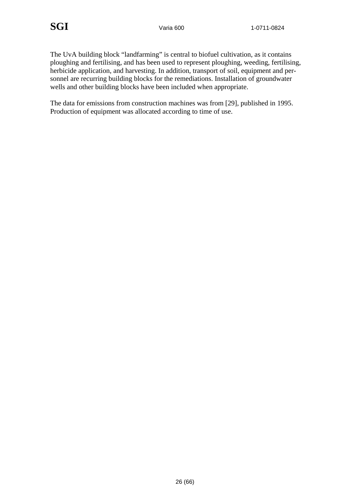The UvA building block "landfarming" is central to biofuel cultivation, as it contains ploughing and fertilising, and has been used to represent ploughing, weeding, fertilising, herbicide application, and harvesting. In addition, transport of soil, equipment and personnel are recurring building blocks for the remediations. Installation of groundwater wells and other building blocks have been included when appropriate.

The data for emissions from construction machines was from [29], published in 1995. Production of equipment was allocated according to time of use.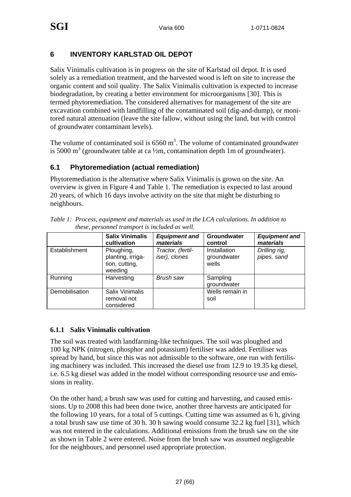#### **6 INVENTORY KARLSTAD OIL DEPOT**

Salix Vinimalis cultivation is in progress on the site of Karlstad oil depot. It is used solely as a remediation treatment, and the harvested wood is left on site to increase the organic content and soil quality. The Salix Vinimalis cultivation is expected to increase biodegradation, by creating a better environment for microorganisms [30]. This is termed phytoremediation. The considered alternatives for management of the site are excavation combined with landfilling of the contaminated soil (dig-and-dump), or monitored natural attenuation (leave the site fallow, without using the land, but with control of groundwater contaminant levels).

The volume of contaminated soil is  $6560 \text{ m}^3$ . The volume of contaminated groundwater is 5000 m<sup>3</sup> (groundwater table at ca  $\frac{1}{2}$ m, contamination depth 1m of groundwater).

#### **6.1 Phytoremediation (actual remediation)**

Phytoremediation is the alternative where Salix Vinimalis is grown on the site. An overview is given in Figure 4 and Table 1. The remediation is expected to last around 20 years, of which 16 days involve activity on the site that might be disturbing to neighbours.

|                | <b>Salix Vinimalis</b><br>cultivation                        | <b>Equipment and</b><br>materials  | Groundwater<br>control               | <b>Equipment and</b><br>materials |
|----------------|--------------------------------------------------------------|------------------------------------|--------------------------------------|-----------------------------------|
| Establishment  | Ploughing,<br>planting, irriga-<br>tion, cutting,<br>weeding | Tractor, (fertil-<br>iser), clones | Installation<br>groundwater<br>wells | Drilling rig,<br>pipes, sand      |
| Running        | Harvesting                                                   | Brush saw                          | Sampling<br>groundwater              |                                   |
| Demobilisation | Salix Vinimalis<br>removal not<br>considered                 |                                    | Wells remain in<br>soil              |                                   |

*Table 1: Process, equipment and materials as used in the LCA calculations. In addition to these, personnel transport is included as well.* 

#### **6.1.1 Salix Vinimalis cultivation**

The soil was treated with landfarming-like techniques. The soil was ploughed and 100 kg NPK (nitrogen, phosphor and potassium) fertiliser was added. Fertiliser was spread by hand, but since this was not admissible to the software, one run with fertilising machinery was included. This increased the diesel use from 12.9 to 19.35 kg diesel, i.e. 6.5 kg diesel was added in the model without corresponding resource use and emissions in reality.

On the other hand, a brush saw was used for cutting and harvesting, and caused emissions. Up to 2008 this had been done twice, another three harvests are anticipated for the following 10 years, for a total of 5 cuttings. Cutting time was assumed as 6 h, giving a total brush saw use time of 30 h. 30 h sawing would consume 32.2 kg fuel [31], which was not entered in the calculations. Additional emissions from the brush saw on the site as shown in Table 2 were entered. Noise from the brush saw was assumed negligeable for the neighbours, and personnel used appropriate protection.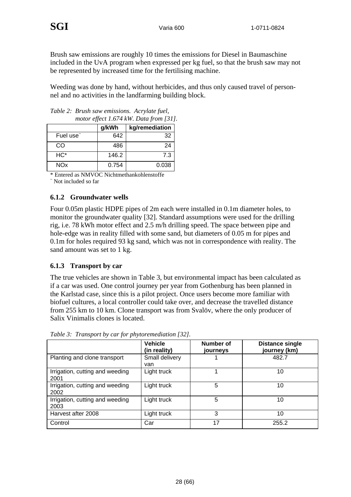Brush saw emissions are roughly 10 times the emissions for Diesel in Baumaschine included in the UvA program when expressed per kg fuel, so that the brush saw may not be represented by increased time for the fertilising machine.

Weeding was done by hand, without herbicides, and thus only caused travel of personnel and no activities in the landfarming building block.

| motor effect 1.074 KW. Data from [31]. |       |       |  |  |
|----------------------------------------|-------|-------|--|--|
| g/kWh<br>kg/remediation                |       |       |  |  |
| Fuel use <sup>~</sup>                  | 642   | 32    |  |  |
| CO                                     | 486   | 24    |  |  |
| HC*                                    | 146.2 | 7.3   |  |  |
| <b>NOx</b>                             | 0.754 | 0.038 |  |  |

*Table 2: Brush saw emissions. Acrylate fuel, motor effect 1.674 kW. Data from [31].* 

\* Entered as NMVOC Nichtmethankohlenstoffe

~ Not included so far

#### **6.1.2 Groundwater wells**

Four 0.05m plastic HDPE pipes of 2m each were installed in 0.1m diameter holes, to monitor the groundwater quality [32]. Standard assumptions were used for the drilling rig, i.e. 78 kWh motor effect and 2.5 m/h drilling speed. The space between pipe and hole-edge was in reality filled with some sand, but diameters of 0.05 m for pipes and 0.1m for holes required 93 kg sand, which was not in correspondence with reality. The sand amount was set to 1 kg.

#### **6.1.3 Transport by car**

The true vehicles are shown in Table 3, but environmental impact has been calculated as if a car was used. One control journey per year from Gothenburg has been planned in the Karlstad case, since this is a pilot project. Once users become more familiar with biofuel cultures, a local controller could take over, and decrease the travelled distance from 255 km to 10 km. Clone transport was from Svalöv, where the only producer of Salix Vinimalis clones is located.

|                                         | <b>Vehicle</b><br>(in reality) | Number of<br>journeys | <b>Distance single</b><br>journey (km) |
|-----------------------------------------|--------------------------------|-----------------------|----------------------------------------|
| Planting and clone transport            | Small delivery<br>van          |                       | 482.7                                  |
| Irrigation, cutting and weeding<br>2001 | Light truck                    |                       | 10                                     |
| Irrigation, cutting and weeding<br>2002 | Light truck                    | 5                     | 10                                     |
| Irrigation, cutting and weeding<br>2003 | Light truck                    | 5                     | 10                                     |
| Harvest after 2008                      | Light truck                    | 3                     | 10                                     |
| Control                                 | Car                            | 17                    | 255.2                                  |

*Table 3: Transport by car for phytoremediation [32].*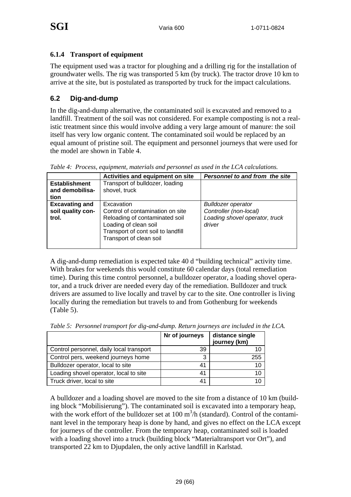#### **6.1.4 Transport of equipment**

The equipment used was a tractor for ploughing and a drilling rig for the installation of groundwater wells. The rig was transported 5 km (by truck). The tractor drove 10 km to arrive at the site, but is postulated as transported by truck for the impact calculations.

#### **6.2 Dig-and-dump**

In the dig-and-dump alternative, the contaminated soil is excavated and removed to a landfill. Treatment of the soil was not considered. For example composting is not a realistic treatment since this would involve adding a very large amount of manure: the soil itself has very low organic content. The contaminated soil would be replaced by an equal amount of pristine soil. The equipment and personnel journeys that were used for the model are shown in Table 4.

|                                                     | Activities and equipment on site                                                                                                                                           | Personnel to and from the site                                                                  |
|-----------------------------------------------------|----------------------------------------------------------------------------------------------------------------------------------------------------------------------------|-------------------------------------------------------------------------------------------------|
| <b>Establishment</b><br>and demobilisa-<br>tion     | Transport of bulldozer, loading<br>shovel, truck                                                                                                                           |                                                                                                 |
| <b>Excavating and</b><br>soil quality con-<br>trol. | Excavation<br>Control of contamination on site<br>Reloading of contaminated soil<br>Loading of clean soil<br>Transport of cont soil to landfill<br>Transport of clean soil | <b>Bulldozer operator</b><br>Controller (non-local)<br>Loading shovel operator, truck<br>driver |

*Table 4: Process, equipment, materials and personnel as used in the LCA calculations.* 

A dig-and-dump remediation is expected take 40 d "building technical" activity time. With brakes for weekends this would constitute 60 calendar days (total remediation time). During this time control personnel, a bulldozer operator, a loading shovel operator, and a truck driver are needed every day of the remediation. Bulldozer and truck drivers are assumed to live locally and travel by car to the site. One controller is living locally during the remediation but travels to and from Gothenburg for weekends (Table 5).

|                                          | Nr of journeys | distance single<br>journey (km) |
|------------------------------------------|----------------|---------------------------------|
| Control personnel, daily local transport | 39             | 10                              |
| Control pers, weekend journeys home      | 3              | 255                             |
| Bulldozer operator, local to site        | 41             | 10                              |
| Loading shovel operator, local to site   | 41             | 10                              |
| Truck driver, local to site              | 41             | 10                              |

*Table 5: Personnel transport for dig-and-dump. Return journeys are included in the LCA.* 

A bulldozer and a loading shovel are moved to the site from a distance of 10 km (building block "Mobilisierung"). The contaminated soil is excavated into a temporary heap, with the work effort of the bulldozer set at  $100 \text{ m}^3$ /h (standard). Control of the contaminant level in the temporary heap is done by hand, and gives no effect on the LCA except for journeys of the controller. From the temporary heap, contaminated soil is loaded with a loading shovel into a truck (building block "Materialtransport vor Ort"), and transported 22 km to Djupdalen, the only active landfill in Karlstad.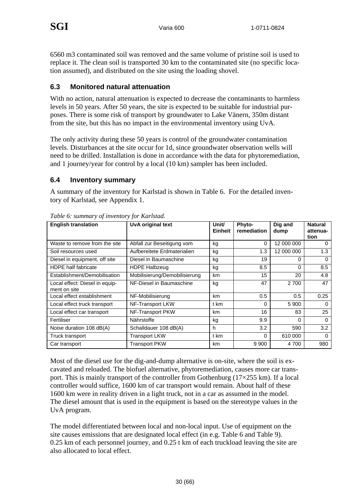6560 m3 contaminated soil was removed and the same volume of pristine soil is used to replace it. The clean soil is transported 30 km to the contaminated site (no specific location assumed), and distributed on the site using the loading shovel.

#### **6.3 Monitored natural attenuation**

With no action, natural attenuation is expected to decrease the contaminants to harmless levels in 50 years. After 50 years, the site is expected to be suitable for industrial purposes. There is some risk of transport by groundwater to Lake Vänern, 350m distant from the site, but this has no impact in the environmental inventory using UvA.

The only activity during these 50 years is control of the groundwater contamination levels. Disturbances at the site occur for 1d, since groundwater observation wells will need to be drilled. Installation is done in accordance with the data for phytoremediation, and 1 journey/year for control by a local (10 km) sampler has been included.

#### **6.4 Inventory summary**

A summary of the inventory for Karlstad is shown in Table 6. For the detailed inventory of Karlstad, see Appendix 1.

| <b>English translation</b>                     | <b>UvA original text</b>      | Unit/<br><b>Einheit</b> | Phyto-<br>remediation | Dig and<br>dump | <b>Natural</b><br>attenua-<br>tion |
|------------------------------------------------|-------------------------------|-------------------------|-----------------------|-----------------|------------------------------------|
| Waste to remove from the site                  | Abfall zur Beseitigung vom    | kg                      | 0                     | 12 000 000      | 0                                  |
| Soil resources used                            | Aufbereitete Erdmaterialien   | kg                      | 1.3                   | 12 000 000      | 1.3                                |
| Diesel in equipment, off site                  | Diesel in Baumaschine         | kg                      | 19                    | 0               | 0                                  |
| <b>HDPE</b> half fabricate                     | <b>HDPE Halbzeug</b>          | kg                      | 8.5                   | 0               | 8.5                                |
| Establishment/Demobilisation                   | Mobilisierung/Demobilisierung | km                      | 15                    | 20              | 4.8                                |
| Local effect: Diesel in equip-<br>ment on site | NF-Diesel in Baumaschine      | kg                      | 47                    | 2 700           | 47                                 |
| Local effect establishment                     | NF-Mobilisierung              | km                      | 0.5                   | 0.5             | 0.25                               |
| Local effect truck transport                   | NF-Transport LKW              | t km                    | 0                     | 5 9 0 0         | $\Omega$                           |
| Local effect car transport                     | NF-Transport PKW              | km                      | 16                    | 83              | 25                                 |
| Fertiliser                                     | Nährstoffe                    | kg                      | 9.9                   | 0               | 0                                  |
| Noise duration 108 dB(A)                       | Schalldauer 108 dB(A)         | h                       | 3.2                   | 590             | 3.2                                |
| Truck transport                                | <b>Transport LKW</b>          | t km                    | $\Omega$              | 610 000         | $\Omega$                           |
| Car transport                                  | <b>Transport PKW</b>          | km                      | 9 9 0 0               | 4 700           | 980                                |

*Table 6: summary of inventory for Karlstad.* 

Most of the diesel use for the dig-and-dump alternative is on-site, where the soil is excavated and reloaded. The biofuel alternative, phytoremediation, causes more car transport. This is mainly transport of the controller from Gothenburg  $(17\times255 \text{ km})$ . If a local controller would suffice, 1600 km of car transport would remain. About half of these 1600 km were in reality driven in a light truck, not in a car as assumed in the model. The diesel amount that is used in the equipment is based on the stereotype values in the UvA program.

The model differentiated between local and non-local input. Use of equipment on the site causes emissions that are designated local effect (in e.g. Table 6 and Table 9). 0.25 km of each personnel journey, and 0.25 t km of each truckload leaving the site are also allocated to local effect.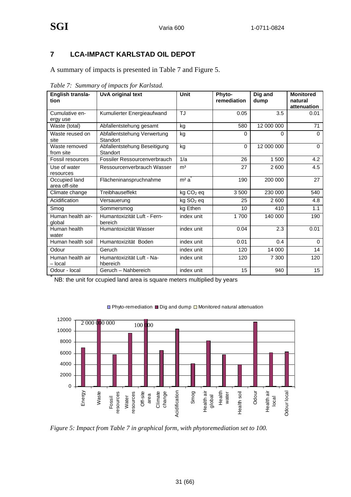#### **7 LCA-IMPACT KARLSTAD OIL DEPOT**

A summary of impacts is presented in Table 7 and Figure 5.

| English transla-<br>tion       | <b>UvA original text</b>                 | Unit                          | Phyto-<br>remediation | Dig and<br>dump | <b>Monitored</b><br>natural<br>attenuation |
|--------------------------------|------------------------------------------|-------------------------------|-----------------------|-----------------|--------------------------------------------|
| Cumulative en-<br>ergy use     | Kumulierter Energieaufwand               | <b>TJ</b>                     | 0.05                  | 3.5             | 0.01                                       |
| Waste (total)                  | Abfallentstehung gesamt                  | kg                            | 580                   | 12 000 000      | 71                                         |
| Waste reused on<br>site        | Abfallentstehung Verwertung<br>Standort  | kg                            | $\Omega$              | $\Omega$        | $\Omega$                                   |
| Waste removed<br>from site     | Abfallentstehung Beseitigung<br>Standort | kg                            | $\Omega$              | 12 000 000      | $\Omega$                                   |
| Fossil resources               | Fossiler Ressourcenverbrauch             | 1/a                           | 26                    | 1500            | 4.2                                        |
| Use of water<br>resources      | Ressourcenverbrauch Wasser               | m <sup>3</sup>                | 27                    | 2600            | 4.5                                        |
| Occupied land<br>area off-site | Flächeninanspruchnahme                   | m <sup>2</sup> a <sup>2</sup> | 190                   | 200 000         | 27                                         |
| Climate change                 | Treibhauseffekt                          | kg CO <sub>2</sub> eq         | 3500                  | 230 000         | 540                                        |
| Acidification                  | Versauerung                              | kg SO <sub>2</sub> eq         | 25                    | 2600            | 4.8                                        |
| Smog                           | Sommersmog                               | kg Ethen                      | 10                    | 410             | 1.1                                        |
| Human health air-<br>global    | Humantoxizität Luft - Fern-<br>bereich   | index unit                    | 1700                  | 140 000         | 190                                        |
| Human health<br>water          | Humantoxizität Wasser                    | index unit                    | 0.04                  | 2.3             | 0.01                                       |
| Human health soil              | Humantoxizität Boden                     | index unit                    | 0.01                  | 0.4             | $\Omega$                                   |
| Odour                          | Geruch                                   | index unit                    | 120                   | 14 000          | 14                                         |
| Human health air<br>- local    | Humantoxizität Luft - Na-<br>hbereich    | index unit                    | 120                   | 7 300           | 120                                        |
| Odour - local                  | Geruch - Nahbereich                      | index unit                    | 15                    | 940             | 15                                         |

*Table 7: Summary of impacts for Karlstad.* 

NB: the unit for ccupied land area is square meters multiplied by years



□ Phyto-remediation ■ Dig and dump □ Monitored natural attenuation

*Figure 5: Impact from Table 7 in graphical form, with phytoremediation set to 100.*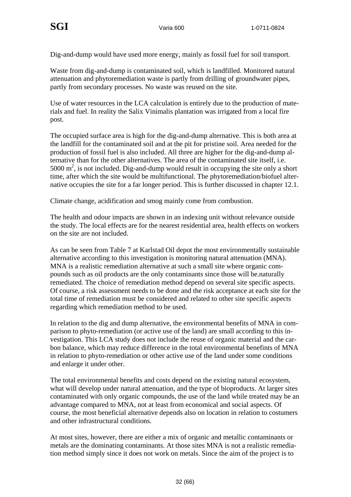Dig-and-dump would have used more energy, mainly as fossil fuel for soil transport.

Waste from dig-and-dump is contaminated soil, which is landfilled. Monitored natural attenuation and phytoremediation waste is partly from drilling of groundwater pipes, partly from secondary processes. No waste was reused on the site.

Use of water resources in the LCA calculation is entirely due to the production of materials and fuel. In reality the Salix Vinimalis plantation was irrigated from a local fire post.

The occupied surface area is high for the dig-and-dump alternative. This is both area at the landfill for the contaminated soil and at the pit for pristine soil. Area needed for the production of fossil fuel is also included. All three are higher for the dig-and-dump alternative than for the other alternatives. The area of the contaminated site itself, i.e. 5000  $\text{m}^2$ , is not included. Dig-and-dump would result in occupying the site only a short time, after which the site would be multifunctional. The phytoremediation/biofuel alternative occupies the site for a far longer period. This is further discussed in chapter 12.1.

Climate change, acidification and smog mainly come from combustion.

The health and odour impacts are shown in an indexing unit without relevance outside the study. The local effects are for the nearest residential area, health effects on workers on the site are not included.

As can be seen from Table 7 at Karlstad Oil depot the most environmentally sustainable alternative according to this investigation is monitoring natural attenuation (MNA). MNA is a realistic remediation alternative at such a small site where organic compounds such as oil products are the only contaminants since those will be.naturally remediated. The choice of remediation method depend on several site specific aspects. Of course, a risk assessment needs to be done and the risk acceptance at each site for the total time of remediation must be considered and related to other site specific aspects regarding which remediation method to be used.

In relation to the dig and dump alternative, the environmental benefits of MNA in comparison to phyto-remediation (or active use of the land) are small according to this investigation. This LCA study does not include the reuse of organic material and the carbon balance, which may reduce difference in the total environmental benefints of MNA in relation to phyto-remediation or other active use of the land under some conditions and enlarge it under other.

The total environmental benefits and costs depend on the existing natural ecosystem, what will develop under natural attenuation, and the type of bioproducts. At larger sites contaminated with only organic compounds, the use of the land while treated may be an advantage compared to MNA, not at least from economical and social aspects. Of course, the most beneficial alternative depends also on location in relation to costumers and other infrastructural conditions.

At most sites, however, there are either a mix of organic and metallic contaminants or metals are the dominating contaminants. At those sites MNA is not a realistic remediation method simply since it does not work on metals. Since the aim of the project is to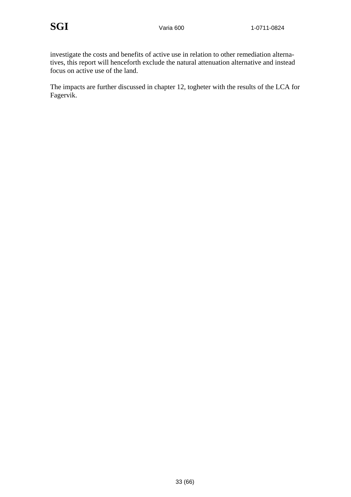investigate the costs and benefits of active use in relation to other remediation alternatives, this report will henceforth exclude the natural attenuation alternative and instead focus on active use of the land.

The impacts are further discussed in chapter 12, togheter with the results of the LCA for Fagervik.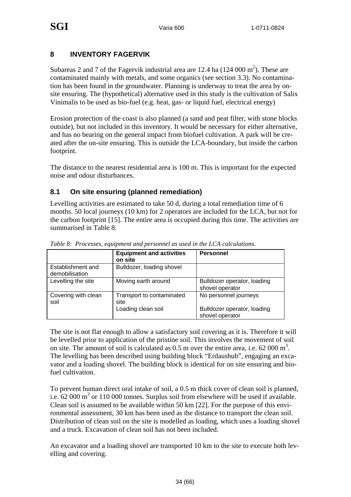#### **8 INVENTORY FAGERVIK**

Subareas 2 and 7 of the Fagervik industrial area are 12.4 ha  $(124 000 \text{ m}^2)$ . These are contaminated mainly with metals, and some organics (see section 3.3). No contamination has been found in the groundwater. Planning is underway to treat the area by onsite ensuring. The (hypothetical) alternative used in this study is the cultivation of Salix Vinimalis to be used as bio-fuel (e.g. heat, gas- or liquid fuel, electrical energy)

Erosion protection of the coast is also planned (a sand and peat filter, with stone blocks outside), but not included in this inventory. It would be necessary for either alternative, and has no bearing on the general impact from biofuel cultivation. A park will be created after the on-site ensuring. This is outside the LCA-boundary, but inside the carbon footprint.

The distance to the nearest residential area is 100 m. This is important for the expected noise and odour disturbances.

#### **8.1 On site ensuring (planned remediation)**

Levelling activities are estimated to take 50 d, during a total remediation time of 6 months. 50 local journeys (10 km) for 2 operators are included for the LCA, but not for the carbon footprint [15]. The entire area is occupied during this time. The activities are summarised in Table 8.

|                                     | <b>Equipment and activities</b><br>on site | <b>Personnel</b>                               |
|-------------------------------------|--------------------------------------------|------------------------------------------------|
| Establishment and<br>demobilisation | Bulldozer, loading shovel                  |                                                |
| Levelling the site                  | Moving earth around                        | Bulldozer operator, loading<br>shovel operator |
| Covering with clean<br>soil         | Transport to contaminated<br>site          | No personnel journeys                          |
|                                     | Loading clean soil                         | Bulldozer operator, loading<br>shovel operator |

*Table 8: Processes, equipment and personnel as used in the LCA calculations.* 

The site is not flat enough to allow a satisfactory soil covering as it is. Therefore it will be levelled prior to application of the pristine soil. This involves the movement of soil on site. The amount of soil is calculated as  $0.5$  m over the entire area, i.e. 62 000 m<sup>3</sup>. The levelling has been described using building block "Erdaushub", engaging an excavator and a loading shovel. The building block is identical for on site ensuring and biofuel cultivation.

To prevent human direct oral intake of soil, a 0.5 m thick cover of clean soil is planned, i.e.  $62000 \text{ m}^3$  or 110 000 tonnes. Surplus soil from elsewhere will be used if available. Clean soil is assumed to be available within 50 km [22]. For the purpose of this environmental assessment, 30 km has been used as the distance to transport the clean soil. Distribution of clean soil on the site is modelled as loading, which uses a loading shovel and a truck. Excavation of clean soil has not been included.

An excavator and a loading shovel are transported 10 km to the site to execute both levelling and covering.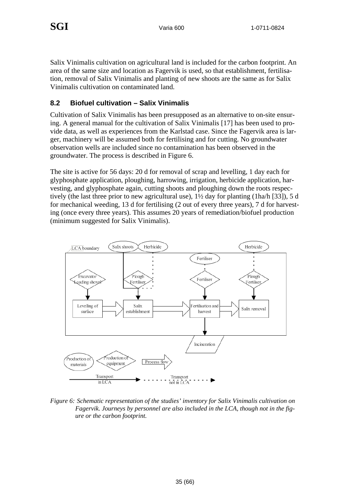Salix Vinimalis cultivation on agricultural land is included for the carbon footprint. An area of the same size and location as Fagervik is used, so that establishment, fertilisation, removal of Salix Vinimalis and planting of new shoots are the same as for Salix Vinimalis cultivation on contaminated land.

#### **8.2 Biofuel cultivation – Salix Vinimalis**

Cultivation of Salix Vinimalis has been presupposed as an alternative to on-site ensuring. A general manual for the cultivation of Salix Vinimalis [17] has been used to provide data, as well as experiences from the Karlstad case. Since the Fagervik area is larger, machinery will be assumed both for fertilising and for cutting. No groundwater observation wells are included since no contamination has been observed in the groundwater. The process is described in Figure 6.

The site is active for 56 days: 20 d for removal of scrap and levelling, 1 day each for glyphosphate application, ploughing, harrowing, irrigation, herbicide application, harvesting, and glyphosphate again, cutting shoots and ploughing down the roots respectively (the last three prior to new agricultural use), 1½ day for planting (1ha/h [33]), 5 d for mechanical weeding, 13 d for fertilising (2 out of every three years), 7 d for harvesting (once every three years). This assumes 20 years of remediation/biofuel production (minimum suggested for Salix Vinimalis).



*Figure 6: Schematic representation of the studies' inventory for Salix Vinimalis cultivation on Fagervik. Journeys by personnel are also included in the LCA, though not in the figure or the carbon footprint.*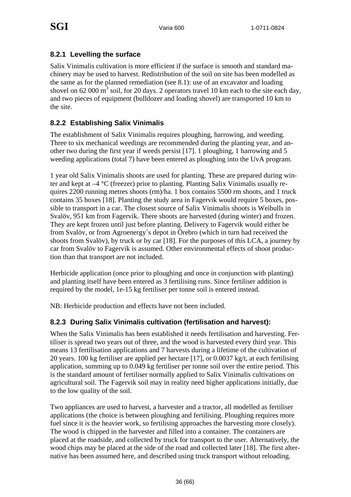#### **8.2.1 Levelling the surface**

Salix Vinimalis cultivation is more efficient if the surface is smooth and standard machinery may be used to harvest. Redistribution of the soil on site has been modelled as the same as for the planned remediation (see 8.1): use of an excavator and loading shovel on 62 000  $\text{m}^3$  soil, for 20 days. 2 operators travel 10 km each to the site each day, and two pieces of equipment (bulldozer and loading shovel) are transported 10 km to the site.

#### **8.2.2 Establishing Salix Vinimalis**

The establishment of Salix Vinimalis requires ploughing, harrowing, and weeding. Three to six mechanical weedings are recommended during the planting year, and another two during the first year if weeds persist [17]. 1 ploughing, 1 harrowing and 5 weeding applications (total 7) have been entered as ploughing into the UvA program.

1 year old Salix Vinimalis shoots are used for planting. These are prepared during winter and kept at –4 °C (freezer) prior to planting. Planting Salix Vinimalis usually requires 2200 running metres shoots (rm)/ha. 1 box contains 5500 rm shoots, and 1 truck contains 35 boxes [18]. Planting the study area in Fagervik would require 5 boxes, possible to transport in a car. The closest source of Salix Vinimalis shoots is Weibulls in Svalöv, 951 km from Fagervik. There shoots are harvested (during winter) and frozen. They are kept frozen until just before planting. Delivery to Fagervik would either be from Svalöv, or from Agroenergy´s depot in Örebro (which in turn had received the shoots from Svalöv), by truck or by car [18]. For the purposes of this LCA, a journey by car from Svalöv to Fagervik is assumed. Other environmental effects of shoot production than that transport are not included.

Herbicide application (once prior to ploughing and once in conjunction with planting) and planting itself have been entered as 3 fertilising runs. Since fertiliser addition is required by the model, 1e-15 kg fertiliser per tonne soil is entered instead.

NB: Herbicide production and effects have not been included.

#### **8.2.3 During Salix Vinimalis cultivation (fertilisation and harvest):**

When the Salix Vinimalis has been established it needs fertilisation and harvesting. Fertiliser is spread two years out of three, and the wood is harvested every third year. This means 13 fertilisation applications and 7 harvests during a lifetime of the cultivation of 20 years. 100 kg fertiliser are applied per hectare [17], or 0.0037 kg/t, at each fertilising application, summing up to 0.049 kg fertiliser per tonne soil over the entire period. This is the standard amount of fertiliser normally applied to Salix Vinimalis cultivations on agricultural soil. The Fagervik soil may in reality need higher applications initially, due to the low quality of the soil.

Two appliances are used to harvest, a harvester and a tractor, all modelled as fertiliser applications (the choice is between ploughing and fertilising. Ploughing requires more fuel since it is the heavier work, so fertilising approaches the harvesting more closely). The wood is chipped in the harvester and filled into a container. The containers are placed at the roadside, and collected by truck for transport to the user. Alternatively, the wood chips may be placed at the side of the road and collected later [18]. The first alternative has been assumed here, and described using truck transport without reloading.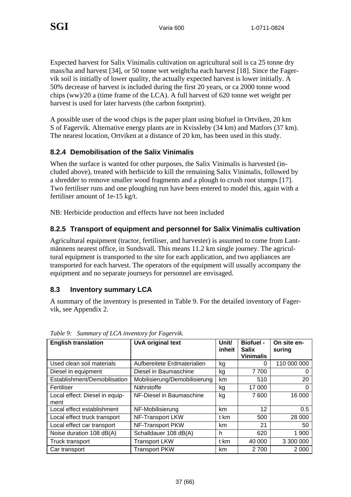Expected harvest for Salix Vinimalis cultivation on agricultural soil is ca 25 tonne dry mass/ha and harvest [34], or 50 tonne wet weight/ha each harvest [18]. Since the Fagervik soil is initially of lower quality, the actually expected harvest is lower initially. A 50% decrease of harvest is included during the first 20 years, or ca 2000 tonne wood chips (ww)/20 a (time frame of the LCA). A full harvest of 620 tonne wet weight per harvest is used for later harvests (the carbon footprint).

A possible user of the wood chips is the paper plant using biofuel in Ortviken, 20 km S of Fagervik. Alternative energy plants are in Kvissleby (34 km) and Matfors (37 km). The nearest location, Ortviken at a distance of 20 km, has been used in this study.

#### **8.2.4 Demobilisation of the Salix Vinimalis**

When the surface is wanted for other purposes, the Salix Vinimalis is harvested (included above), treated with herbicide to kill the remaining Salix Vinimalis, followed by a shredder to remove smaller wood fragments and a plough to crush root stumps [17]. Two fertiliser runs and one ploughing run have been entered to model this, again with a fertiliser amount of 1e-15 kg/t.

NB: Herbicide production and effects have not been included

#### **8.2.5 Transport of equipment and personnel for Salix Vinimalis cultivation**

Agricultural equipment (tractor, fertiliser, and harvester) is assumed to come from Lantmännens nearest office, in Sundsvall. This means 11.2 km single journey. The agricultural equipment is transported to the site for each application, and two appliances are transported for each harvest. The operators of the equipment will usually accompany the equipment and no separate journeys for personnel are envisaged.

#### **8.3 Inventory summary LCA**

A summary of the inventory is presented in Table 9. For the detailed inventory of Fagervik, see Appendix 2.

| <b>English translation</b>             | UvA original text             | Unit/<br>inheit | <b>Biofuel -</b><br><b>Salix</b><br><b>Vinimalis</b> | On site en-<br>suring |
|----------------------------------------|-------------------------------|-----------------|------------------------------------------------------|-----------------------|
| Used clean soil materials              | Aufbereitete Erdmaterialien   | kg              | 0                                                    | 110 000 000           |
| Diesel in equipment                    | Diesel in Baumaschine         | kg              | 7 700                                                | $\Omega$              |
| Establishment/Demobilisation           | Mobilisierung/Demobilisierung | km              | 510                                                  | 20                    |
| Fertiliser                             | Nährstoffe                    | kg              | 17 000                                               | 0                     |
| Local effect: Diesel in equip-<br>ment | NF-Diesel in Baumaschine      | kg              | 7600                                                 | 16 000                |
| Local effect establishment             | NF-Mobilisierung              | km              | 12                                                   | 0.5                   |
| Local effect truck transport           | NF-Transport LKW              | t km            | 500                                                  | 28 000                |
| Local effect car transport             | NF-Transport PKW              | km              | 21                                                   | 50                    |
| Noise duration 108 dB(A)               | Schalldauer 108 dB(A)         | h               | 620                                                  | 1 900                 |
| Truck transport                        | <b>Transport LKW</b>          | t km            | 40 000                                               | 3 300 000             |
| Car transport                          | <b>Transport PKW</b>          | km              | 2 700                                                | 2 0 0 0               |

*Table 9: Summary of LCA inventory for Fagervik.*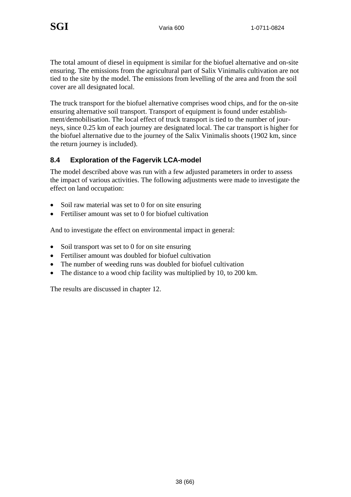The total amount of diesel in equipment is similar for the biofuel alternative and on-site ensuring. The emissions from the agricultural part of Salix Vinimalis cultivation are not tied to the site by the model. The emissions from levelling of the area and from the soil cover are all designated local.

The truck transport for the biofuel alternative comprises wood chips, and for the on-site ensuring alternative soil transport. Transport of equipment is found under establishment/demobilisation. The local effect of truck transport is tied to the number of journeys, since 0.25 km of each journey are designated local. The car transport is higher for the biofuel alternative due to the journey of the Salix Vinimalis shoots (1902 km, since the return journey is included).

#### **8.4 Exploration of the Fagervik LCA-model**

The model described above was run with a few adjusted parameters in order to assess the impact of various activities. The following adjustments were made to investigate the effect on land occupation:

- Soil raw material was set to 0 for on site ensuring
- Fertiliser amount was set to 0 for biofuel cultivation

And to investigate the effect on environmental impact in general:

- Soil transport was set to 0 for on site ensuring
- Fertiliser amount was doubled for biofuel cultivation
- The number of weeding runs was doubled for biofuel cultivation
- The distance to a wood chip facility was multiplied by 10, to 200 km.

The results are discussed in chapter 12.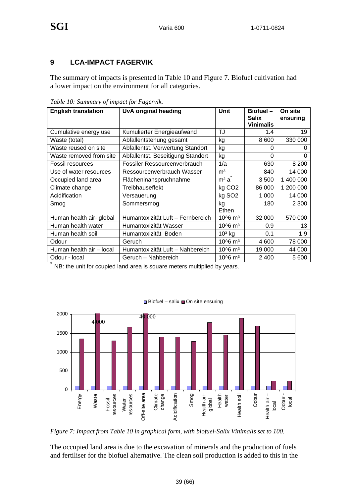#### **9 LCA-IMPACT FAGERVIK**

The summary of impacts is presented in Table 10 and Figure 7. Biofuel cultivation had a lower impact on the environment for all categories.

| <b>English translation</b> | UvA original heading              | <b>Unit</b>             | $Biofuel -$<br>Salix | On site<br>ensuring |
|----------------------------|-----------------------------------|-------------------------|----------------------|---------------------|
|                            |                                   |                         | <b>Vinimalis</b>     |                     |
| Cumulative energy use      | Kumulierter Energieaufwand        | TJ                      | 1.4                  | 19                  |
| Waste (total)              | Abfallentstehung gesamt           | kg                      | 8 600                | 330 000             |
| Waste reused on site       | Abfallentst. Verwertung Standort  | kg                      | 0                    | O                   |
| Waste removed from site    | Abfallentst. Beseitigung Standort | kg                      | $\Omega$             | 0                   |
| Fossil resources           | Fossiler Ressourcenverbrauch      | 1/a                     | 630                  | 8 2 0 0             |
| Use of water resources     | Ressourcenverbrauch Wasser        | m <sup>3</sup>          | 840                  | 14 000              |
| Occupied land area         | Flächeninanspruchnahme            | m <sup>2</sup> a        | 3 500                | 1 400 000           |
| Climate change             | Treibhauseffekt                   | kg CO <sub>2</sub>      | 86 000               | 1 200 000           |
| Acidification              | Versauerung                       | kg SO <sub>2</sub>      | 1 0 0 0              | 14 000              |
| Smog                       | Sommersmog                        | kg<br>Ethen             | 180                  | 2 3 0 0             |
| Human health air- global   | Humantoxizität Luft - Fernbereich | $10^{6}$ m <sup>3</sup> | 32 000               | 570 000             |
| Human health water         | Humantoxizität Wasser             | $10^{6}$ m <sup>3</sup> | 0.9                  | 13                  |
| Human health soil          | Humantoxizität Boden              | $103$ kg                | 0.1                  | 1.9                 |
| Odour                      | Geruch                            | 10^6 m <sup>3</sup>     | 4 600                | 78 000              |
| Human health air - local   | Humantoxizität Luft - Nahbereich  | $10^{6}$ m <sup>3</sup> | 19 000               | 44 000              |
| Odour - local              | Geruch - Nahbereich               | $10^{6}$ m <sup>3</sup> | 2 400                | 5 600               |

*Table 10: Summary of impact for Fagervik.* 

 $\degree$  NB: the unit for ccupied land area is square meters multiplied by years.



 $\Box$  Biofuel – salix  $\Box$  On site ensuring

*Figure 7: Impact from Table 10 in graphical form, with biofuel-Salix Vinimalis set to 100.* 

The occupied land area is due to the excavation of minerals and the production of fuels and fertiliser for the biofuel alternative. The clean soil production is added to this in the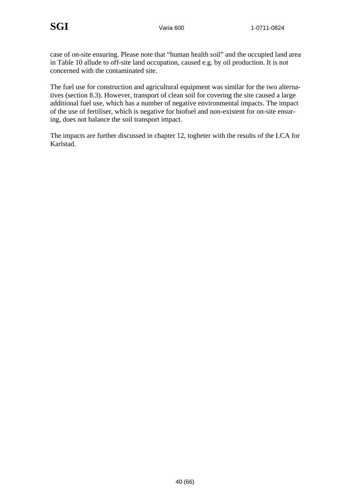case of on-site ensuring. Please note that "human health soil" and the occupied land area in Table 10 allude to off-site land occupation, caused e.g. by oil production. It is not concerned with the contaminated site.

The fuel use for construction and agricultural equipment was similar for the two alternatives (section 8.3). However, transport of clean soil for covering the site caused a large additional fuel use, which has a number of negative environmental impacts. The impact of the use of fertiliser, which is negative for biofuel and non-existent for on-site ensuring, does not balance the soil transport impact.

The impacts are further discussed in chapter 12, togheter with the results of the LCA for Karlstad.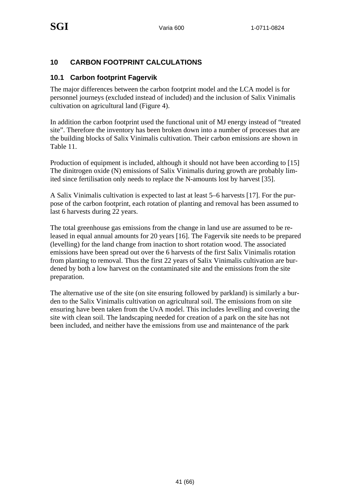#### **10 CARBON FOOTPRINT CALCULATIONS**

#### **10.1 Carbon footprint Fagervik**

The major differences between the carbon footprint model and the LCA model is for personnel journeys (excluded instead of included) and the inclusion of Salix Vinimalis cultivation on agricultural land (Figure 4).

In addition the carbon footprint used the functional unit of MJ energy instead of "treated site". Therefore the inventory has been broken down into a number of processes that are the building blocks of Salix Vinimalis cultivation. Their carbon emissions are shown in Table 11.

Production of equipment is included, although it should not have been according to [15] The dinitrogen oxide (N) emissions of Salix Vinimalis during growth are probably limited since fertilisation only needs to replace the N-amounts lost by harvest [35].

A Salix Vinimalis cultivation is expected to last at least 5–6 harvests [17]. For the purpose of the carbon footprint, each rotation of planting and removal has been assumed to last 6 harvests during 22 years.

The total greenhouse gas emissions from the change in land use are assumed to be released in equal annual amounts for 20 years [16]. The Fagervik site needs to be prepared (levelling) for the land change from inaction to short rotation wood. The associated emissions have been spread out over the 6 harvests of the first Salix Vinimalis rotation from planting to removal. Thus the first 22 years of Salix Vinimalis cultivation are burdened by both a low harvest on the contaminated site and the emissions from the site preparation.

The alternative use of the site (on site ensuring followed by parkland) is similarly a burden to the Salix Vinimalis cultivation on agricultural soil. The emissions from on site ensuring have been taken from the UvA model. This includes levelling and covering the site with clean soil. The landscaping needed for creation of a park on the site has not been included, and neither have the emissions from use and maintenance of the park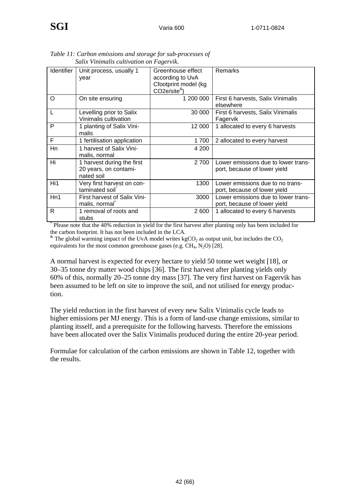|                   | saux vinimaus cultivation on Fagervik.                            |                                                                                 |                                                                     |
|-------------------|-------------------------------------------------------------------|---------------------------------------------------------------------------------|---------------------------------------------------------------------|
| <b>Identifier</b> | Unit process, usually 1<br>year                                   | Greenhouse effect<br>according to UvA<br>Cfootprint model (kg<br>$CO2e/site8$ ) | Remarks                                                             |
| O                 | On site ensuring                                                  | 1 200 000                                                                       | First 6 harvests, Salix Vinimalis<br>elsewhere                      |
| L                 | Levelling prior to Salix<br>Vinimalis cultivation                 | 30 000                                                                          | First 6 harvests, Salix Vinimalis<br>Fagervik                       |
| P                 | 1 planting of Salix Vini-<br>malis                                | 12 000                                                                          | 1 allocated to every 6 harvests                                     |
| F                 | 1 fertilisation application                                       | 1700                                                                            | 2 allocated to every harvest                                        |
| Hn                | 1 harvest of Salix Vini-<br>malis, normal                         | 4 200                                                                           |                                                                     |
| Hi                | 1 harvest during the first<br>20 years, on contami-<br>nated soil | 2 700                                                                           | Lower emissions due to lower trans-<br>port, because of lower yield |
| Hi1               | Very first harvest on con-<br>taminated soil                      | 1300                                                                            | Lower emissions due to no trans-<br>port, because of lower yield    |
| Hn1               | First harvest of Salix Vini-<br>malis, normal                     | 3000                                                                            | Lower emissions due to lower trans-<br>port, because of lower yield |
| R                 | 1 removal of roots and<br>stubs                                   | 2600                                                                            | 1 allocated to every 6 harvests                                     |

*Table 11: Carbon emissions and storage for sub-processes of Salix Vinimalis cultivation on Fagervik.* 

\* Please note that the 40% reduction in yield for the first harvest after planting only has been included for the carbon footprint. It has not been included in the LCA.

 $*$  The global warming impact of the UvA model writes kgCO<sub>2</sub> as output unit, but includes the CO<sub>2</sub> equivalents for the most common greenhouse gases (e.g.  $CH_4$ ,  $N_2O$ ) [28].

A normal harvest is expected for every hectare to yield 50 tonne wet weight [18], or 30–35 tonne dry matter wood chips [36]. The first harvest after planting yields only 60% of this, normally 20–25 tonne dry mass [37]. The very first harvest on Fagervik has been assumed to be left on site to improve the soil, and not utilised for energy production.

The yield reduction in the first harvest of every new Salix Vinimalis cycle leads to higher emissions per MJ energy. This is a form of land-use change emissions, similar to planting itsself, and a prerequisite for the following harvests. Therefore the emissions have been allocated over the Salix Vinimalis produced during the entire 20-year period.

Formulae for calculation of the carbon emissions are shown in Table 12, together with the results.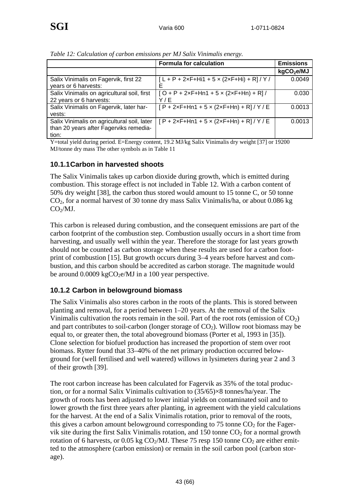|                                             | <b>Formula for calculation</b>                     | <b>Emissions</b>       |
|---------------------------------------------|----------------------------------------------------|------------------------|
|                                             |                                                    | kgCO <sub>2</sub> e/MJ |
| Salix Vinimalis on Fagervik, first 22       | $[L + P + 2xF + Hi1 + 5 \times (2xF + Hi) + R]/Y/$ | 0.0049                 |
| years or 6 harvests:                        | F                                                  |                        |
| Salix Vinimalis on agricultural soil, first | $[O + P + 2xF + Hn1 + 5 \times (2xF + Hn) + R]/$   | 0.030                  |
| 22 years or 6 harvests:                     | Y/E                                                |                        |
| Salix Vinimalis on Fagervik, later har-     | $[P + 2xF + Hn1 + 5 \times (2xF + Hn) + R]/Y/E$    | 0.0013                 |
| vests:                                      |                                                    |                        |
| Salix Vinimalis on agricultural soil, later | $[P + 2xF + Hn1 + 5 \times (2xF + Hn) + R]/Y/E$    | 0.0013                 |
| than 20 years after Fagerviks remedia-      |                                                    |                        |
| tion:                                       |                                                    |                        |

*Table 12: Calculation of carbon emissions per MJ Salix Vinimalis energy.* 

Y=total yield during period. E=Energy content, 19.2 MJ/kg Salix Vinimalis dry weight [37] or 19200 MJ/tonne dry mass The other symbols as in Table 11

#### **10.1.1 Carbon in harvested shoots**

The Salix Vinimalis takes up carbon dioxide during growth, which is emitted during combustion. This storage effect is not included in Table 12. With a carbon content of 50% dry weight [38], the carbon thus stored would amount to 15 tonne C, or 50 tonne CO2, for a normal harvest of 30 tonne dry mass Salix Vinimalis/ha, or about 0.086 kg  $CO<sub>2</sub>/MJ.$ 

This carbon is released during combustion, and the consequent emissions are part of the carbon footprint of the combustion step. Combustion usually occurs in a short time from harvesting, and usually well within the year. Therefore the storage for last years growth should not be counted as carbon storage when these results are used for a carbon footprint of combustion [15]. But growth occurs during 3–4 years before harvest and combustion, and this carbon should be accredited as carbon storage. The magnitude would be around  $0.0009 \text{ kgCO}_2$ e/MJ in a 100 year perspective.

#### **10.1.2 Carbon in belowground biomass**

The Salix Vinimalis also stores carbon in the roots of the plants. This is stored between planting and removal, for a period between 1–20 years. At the removal of the Salix Vinimalis cultivation the roots remain in the soil. Part of the root rots (emission of  $CO<sub>2</sub>$ ) and part contributes to soil-carbon (longer storage of  $CO<sub>2</sub>$ ). Willow root biomass may be equal to, or greater then, the total aboveground biomass (Porter et al, 1993 in [35]). Clone selection for biofuel production has increased the proportion of stem over root biomass. Rytter found that 33–40% of the net primary production occurred belowground for (well fertilised and well watered) willows in lysimeters during year 2 and 3 of their growth [39].

The root carbon increase has been calculated for Fagervik as 35% of the total production, or for a normal Salix Vinimalis cultivation to (35/65)×8 tonnes/ha/year. The growth of roots has been adjusted to lower initial yields on contaminated soil and to lower growth the first three years after planting, in agreement with the yield calculations for the harvest. At the end of a Salix Vinimalis rotation, prior to removal of the roots, this gives a carbon amount belowground corresponding to 75 tonne  $CO<sub>2</sub>$  for the Fagervik site during the first Salix Vinimalis rotation, and 150 tonne  $CO<sub>2</sub>$  for a normal growth rotation of 6 harvests, or 0.05 kg  $CO<sub>2</sub>/MJ$ . These 75 resp 150 tonne  $CO<sub>2</sub>$  are either emitted to the atmosphere (carbon emission) or remain in the soil carbon pool (carbon storage).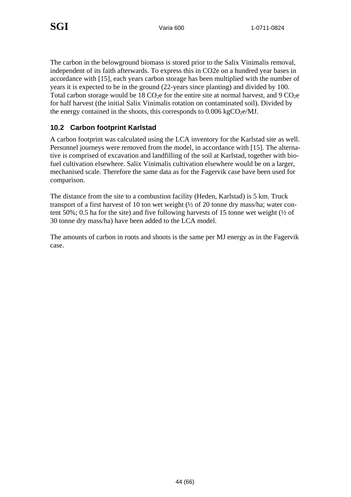The carbon in the belowground biomass is stored prior to the Salix Vinimalis removal, independent of its faith afterwards. To express this in CO2e on a hundred year bases in accordance with [15], each years carbon storage has been multiplied with the number of years it is expected to be in the ground (22-years since planting) and divided by 100. Total carbon storage would be 18  $CO<sub>2</sub>e$  for the entire site at normal harvest, and 9  $CO<sub>2</sub>e$ for half harvest (the initial Salix Vinimalis rotation on contaminated soil). Divided by the energy contained in the shoots, this corresponds to  $0.006 \text{ kgCO}_2 \text{e/MJ}$ .

#### **10.2 Carbon footprint Karlstad**

A carbon footprint was calculated using the LCA inventory for the Karlstad site as well. Personnel journeys were removed from the model, in accordance with [15]. The alternative is comprised of excavation and landfilling of the soil at Karlstad, together with biofuel cultivation elsewhere. Salix Vinimalis cultivation elsewhere would be on a larger, mechanised scale. Therefore the same data as for the Fagervik case have been used for comparison.

The distance from the site to a combustion facility (Heden, Karlstad) is 5 km. Truck transport of a first harvest of 10 ton wet weight (½ of 20 tonne dry mass/ha; water content 50%; 0.5 ha for the site) and five following harvests of 15 tonne wet weight  $(\frac{1}{2}$  of 30 tonne dry mass/ha) have been added to the LCA model.

The amounts of carbon in roots and shoots is the same per MJ energy as in the Fagervik case.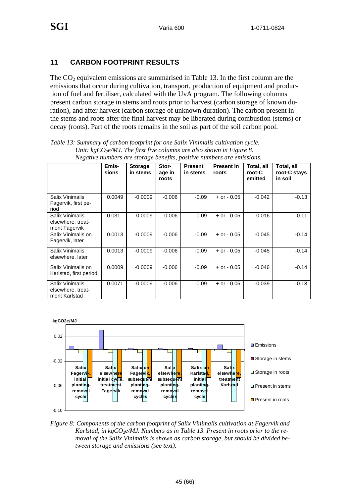#### **11 CARBON FOOTPRINT RESULTS**

The  $CO<sub>2</sub>$  equivalent emissions are summarised in Table 13. In the first column are the emissions that occur during cultivation, transport, production of equipment and production of fuel and fertiliser, calculated with the UvA program. The following columns present carbon storage in stems and roots prior to harvest (carbon storage of known duration), and after harvest (carbon storage of unknown duration). The carbon present in the stems and roots after the final harvest may be liberated during combustion (stems) or decay (roots). Part of the roots remains in the soil as part of the soil carbon pool.

| <i>i</i> regalive numbers are storage benefits, positive numbers are emissions. |                |                            |                          |                            |                            |                                 |                                       |  |
|---------------------------------------------------------------------------------|----------------|----------------------------|--------------------------|----------------------------|----------------------------|---------------------------------|---------------------------------------|--|
|                                                                                 | Emis-<br>sions | <b>Storage</b><br>in stems | Stor-<br>age in<br>roots | <b>Present</b><br>in stems | <b>Present in</b><br>roots | Total, all<br>root-C<br>emitted | Total, all<br>root-C stays<br>in soil |  |
| Salix Vinimalis<br>Fagervik, first pe-<br>riod                                  | 0.0049         | $-0.0009$                  | $-0.006$                 | $-0.09$                    | $+$ or $-$ 0.05            | $-0.042$                        | $-0.13$                               |  |
| Salix Vinimalis<br>elsewhere, treat-<br>ment Fagervik                           | 0.031          | $-0.0009$                  | $-0.006$                 | $-0.09$                    | $+$ or $-$ 0.05            | $-0.016$                        | $-0.11$                               |  |
| Salix Vinimalis on<br>Fagervik, later                                           | 0.0013         | $-0.0009$                  | $-0.006$                 | $-0.09$                    | $+$ or $-$ 0.05            | -0.045                          | $-0.14$                               |  |
| Salix Vinimalis<br>elsewhere, later                                             | 0.0013         | $-0.0009$                  | $-0.006$                 | $-0.09$                    | $+$ or $-$ 0.05            | $-0.045$                        | $-0.14$                               |  |
| Salix Vinimalis on<br>Karlstad, first period                                    | 0.0009         | $-0.0009$                  | $-0.006$                 | $-0.09$                    | $+$ or $-$ 0.05            | $-0.046$                        | $-0.14$                               |  |
| Salix Vinimalis<br>elsewhere, treat-<br>ment Karlstad                           | 0.0071         | $-0.0009$                  | $-0.006$                 | $-0.09$                    | $+$ or $-$ 0.05            | -0.039                          | $-0.13$                               |  |

*Table 13: Summary of carbon footprint for one Salix Vinimalis cultivation cycle. Unit: kgCO<sub>2</sub>e/MJ. The first five columns are also shown in Figure 8. Negative numbers are storage benefits, positive numbers are emissions.* 



*Figure 8: Components of the carbon footprint of Salix Vinimalis cultivation at Fagervik and*  Karlstad, in kgCO<sub>2</sub>e/MJ. Numbers as in Table 13. Present in roots prior to the re*moval of the Salix Vinimalis is shown as carbon storage, but should be divided between storage and emissions (see text).*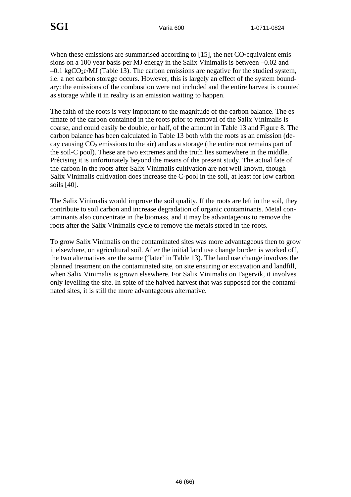When these emissions are summarised according to  $[15]$ , the net  $CO<sub>2</sub>$ equivalent emissions on a 100 year basis per MJ energy in the Salix Vinimalis is between –0.02 and  $-0.1 \text{ kgCO}_2$ e/MJ (Table 13). The carbon emissions are negative for the studied system, i.e. a net carbon storage occurs. However, this is largely an effect of the system boundary: the emissions of the combustion were not included and the entire harvest is counted as storage while it in reality is an emission waiting to happen.

The faith of the roots is very important to the magnitude of the carbon balance. The estimate of the carbon contained in the roots prior to removal of the Salix Vinimalis is coarse, and could easily be double, or half, of the amount in Table 13 and Figure 8. The carbon balance has been calculated in Table 13 both with the roots as an emission (decay causing  $CO<sub>2</sub>$  emissions to the air) and as a storage (the entire root remains part of the soil-C pool). These are two extremes and the truth lies somewhere in the middle. Précising it is unfortunately beyond the means of the present study. The actual fate of the carbon in the roots after Salix Vinimalis cultivation are not well known, though Salix Vinimalis cultivation does increase the C-pool in the soil, at least for low carbon soils [40].

The Salix Vinimalis would improve the soil quality. If the roots are left in the soil, they contribute to soil carbon and increase degradation of organic contaminants. Metal contaminants also concentrate in the biomass, and it may be advantageous to remove the roots after the Salix Vinimalis cycle to remove the metals stored in the roots.

To grow Salix Vinimalis on the contaminated sites was more advantageous then to grow it elsewhere, on agricultural soil. After the initial land use change burden is worked off, the two alternatives are the same ('later' in Table 13). The land use change involves the planned treatment on the contaminated site, on site ensuring or excavation and landfill, when Salix Vinimalis is grown elsewhere. For Salix Vinimalis on Fagervik, it involves only levelling the site. In spite of the halved harvest that was supposed for the contaminated sites, it is still the more advantageous alternative.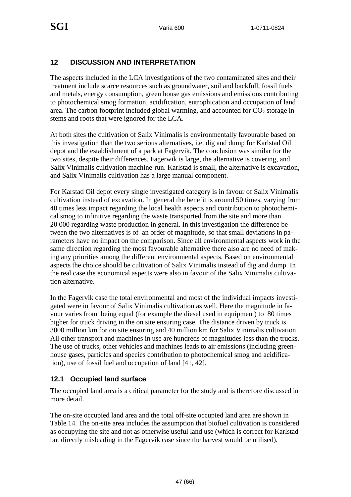#### **12 DISCUSSION AND INTERPRETATION**

The aspects included in the LCA investigations of the two contaminated sites and their treatment include scarce resources such as groundwater, soil and backfull, fossil fuels and metals, energy consumption, green house gas emissions and emissions contributing to photochemical smog formation, acidification, eutrophication and occupation of land area. The carbon footprint included global warming, and accounted for  $CO<sub>2</sub>$  storage in stems and roots that were ignored for the LCA.

At both sites the cultivation of Salix Vinimalis is environmentally favourable based on this investigation than the two serious alternatives, i.e. dig and dump for Karlstad Oil depot and the establishment of a park at Fagervik. The conclusion was similar for the two sites, despite their differences. Fagerwik is large, the alternative is covering, and Salix Vinimalis cultivation machine-run. Karlstad is small, the alternative is excavation, and Salix Vinimalis cultivation has a large manual component.

For Karstad Oil depot every single investigated category is in favour of Salix Vinimalis cultivation instead of excavation. In general the benefit is around 50 times, varying from 40 times less impact regarding the local health aspects and contribution to photochemical smog to infinitive regarding the waste transported from the site and more than 20 000 regarding waste production in general. In this investigation the difference between the two alternatives is of an order of magnitude, so that small deviations in parameters have no impact on the comparison. Since all environmental aspects work in the same direction regarding the most favourable alternative there also are no need of making any priorities among the different environmental aspects. Based on environmental aspects the choice should be cultivation of Salix Vinimalis instead of dig and dump. In the real case the economical aspects were also in favour of the Salix Vinimalis cultivation alternative.

In the Fagervik case the total environmental and most of the individual impacts investigated were in favour of Salix Vinimalis cultivation as well. Here the magnitude in favour varies from being equal (for example the diesel used in equipment) to 80 times higher for truck driving in the on site ensuring case. The distance driven by truck is 3000 million km for on site ensuring and 40 million km for Salix Vinimalis cultivation. All other transport and machines in use are hundreds of magnitudes less than the trucks. The use of trucks, other vehicles and machines leads to air emissions (including greenhouse gases, particles and species contribution to photochemical smog and acidification), use of fossil fuel and occupation of land [41, 42].

#### **12.1 Occupied land surface**

The occupied land area is a critical parameter for the study and is therefore discussed in more detail.

The on-site occupied land area and the total off-site occupied land area are shown in Table 14. The on-site area includes the assumption that biofuel cultivation is considered as occupying the site and not as otherwise useful land use (which is correct for Karlstad but directly misleading in the Fagervik case since the harvest would be utilised).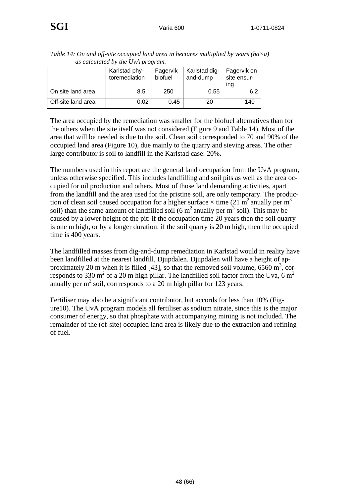|                    | as can manda by the Only program. |                     |                           |                                   |
|--------------------|-----------------------------------|---------------------|---------------------------|-----------------------------------|
|                    | Karlstad phy-<br>toremediation    | Fagervik<br>biofuel | Karlstad dig-<br>and-dump | Fagervik on<br>site ensur-<br>ına |
| On site land area  | 8.5                               | 250                 | 0.55                      | 6.2                               |
| Off-site land area | 0.02                              | 0.45                | 20                        | 140                               |

*Table 14: On and off-site occupied land area in hectares multiplied by years (ha×a) as calculated by the UvA program.* 

The area occupied by the remediation was smaller for the biofuel alternatives than for the others when the site itself was not considered (Figure 9 and Table 14). Most of the area that will be needed is due to the soil. Clean soil corresponded to 70 and 90% of the occupied land area (Figure 10), due mainly to the quarry and sieving areas. The other large contributor is soil to landfill in the Karlstad case: 20%.

The numbers used in this report are the general land occupation from the UvA program, unless otherwise specified. This includes landfilling and soil pits as well as the area occupied for oil production and others. Most of those land demanding activities, apart from the landfill and the area used for the pristine soil, are only temporary. The production of clean soil caused occupation for a higher surface  $\times$  time (21 m<sup>2</sup> anually per m<sup>3</sup> soil) than the same amount of landfilled soil  $(6 \text{ m}^2 \text{ anually per m}^3 \text{ soil})$ . This may be caused by a lower height of the pit: if the occupation time 20 years then the soil quarry is one m high, or by a longer duration: if the soil quarry is 20 m high, then the occupied time is 400 years.

The landfilled masses from dig-and-dump remediation in Karlstad would in reality have been landfilled at the nearest landfill, Djupdalen. Djupdalen will have a height of approximately 20 m when it is filled [43], so that the removed soil volume,  $6560 \text{ m}^3$ , corresponds to 330 m<sup>2</sup> of a 20 m high pillar. The landfilled soil factor from the Uva, 6 m<sup>2</sup> anually per  $m<sup>3</sup>$  soil, corrresponds to a 20 m high pillar for 123 years.

Fertiliser may also be a significant contributor, but accords for less than 10% (Figure10). The UvA program models all fertiliser as sodium nitrate, since this is the major consumer of energy, so that phosphate with accompanying mining is not included. The remainder of the (of-site) occupied land area is likely due to the extraction and refining of fuel.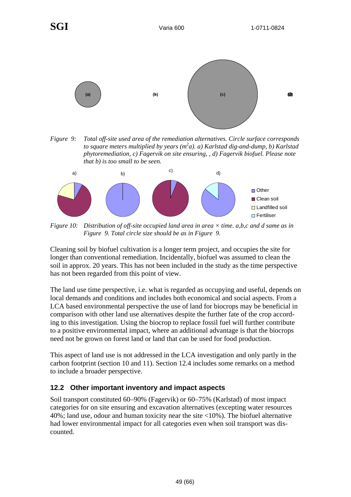

*Figure 9: Total off-site used area of the remediation alternatives. Circle surface corresponds to square meters multiplied by years (m2 a). a) Karlstad dig-and-dump, b) Karlstad phytoremediation, c) Fagervik on site ensuring, , d) Fagervik biofuel. Please note that b) is too small to be seen.* 



*Figure 10: Distribution of off-site occupied land area in area × time. a,b,c and d same as in Figure 9. Total circle size should be as in Figure 9.* 

Cleaning soil by biofuel cultivation is a longer term project, and occupies the site for longer than conventional remediation. Incidentally, biofuel was assumed to clean the soil in approx. 20 years. This has not been included in the study as the time perspective has not been regarded from this point of view.

The land use time perspective, i.e. what is regarded as occupying and useful, depends on local demands and conditions and includes both economical and social aspects. From a LCA based environmental perspective the use of land for biocrops may be beneficial in comparison with other land use alternatives despite the further fate of the crop according to this investigation. Using the biocrop to replace fossil fuel will further contribute to a positive environmental impact, where an additional advantage is that the biocrops need not be grown on forest land or land that can be used for food production.

This aspect of land use is not addressed in the LCA investigation and only partly in the carbon footprint (section 10 and 11). Section 12.4 includes some remarks on a method to include a broader perspective.

#### **12.2 Other important inventory and impact aspects**

Soil transport constituted 60–90% (Fagervik) or 60–75% (Karlstad) of most impact categories for on site ensuring and excavation alternatives (excepting water resources 40%; land use, odour and human toxicity near the site <10%). The biofuel alternative had lower environmental impact for all categories even when soil transport was discounted.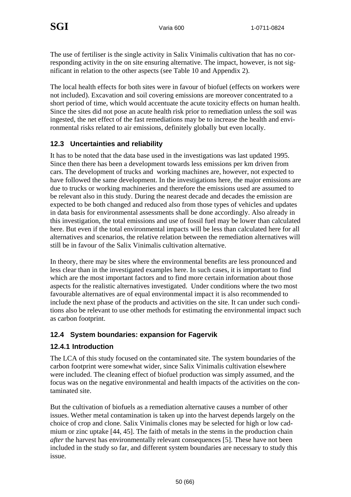The use of fertiliser is the single activity in Salix Vinimalis cultivation that has no corresponding activity in the on site ensuring alternative. The impact, however, is not significant in relation to the other aspects (see Table 10 and Appendix 2).

The local health effects for both sites were in favour of biofuel (effects on workers were not included). Excavation and soil covering emissions are moreover concentrated to a short period of time, which would accentuate the acute toxicity effects on human health. Since the sites did not pose an acute health risk prior to remediation unless the soil was ingested, the net effect of the fast remediations may be to increase the health and environmental risks related to air emissions, definitely globally but even locally.

#### **12.3 Uncertainties and reliability**

It has to be noted that the data base used in the investigations was last updated 1995. Since then there has been a development towards less emissions per km driven from cars. The development of trucks and working machines are, however, not expected to have followed the same development. In the investigations here, the major emissions are due to trucks or working machineries and therefore the emissions used are assumed to be relevant also in this study. During the nearest decade and decades the emission are expected to be both changed and reduced also from those types of vehicles and updates in data basis for environmental assessments shall be done accordingly. Also already in this investigation, the total emissions and use of fossil fuel may be lower than calculated here. But even if the total environmental impacts will be less than calculated here for all alternatives and scenarios, the relative relation between the remediation alternatives will still be in favour of the Salix Vinimalis cultivation alternative.

In theory, there may be sites where the environmental benefits are less pronounced and less clear than in the investigated examples here. In such cases, it is important to find which are the most important factors and to find more certain information about those aspects for the realistic alternatives investigated. Under conditions where the two most favourable alternatives are of equal environmental impact it is also recommended to include the next phase of the products and activities on the site. It can under such conditions also be relevant to use other methods for estimating the environmental impact such as carbon footprint.

#### **12.4 System boundaries: expansion for Fagervik**

#### **12.4.1 Introduction**

The LCA of this study focused on the contaminated site. The system boundaries of the carbon footprint were somewhat wider, since Salix Vinimalis cultivation elsewhere were included. The cleaning effect of biofuel production was simply assumed, and the focus was on the negative environmental and health impacts of the activities on the contaminated site.

But the cultivation of biofuels as a remediation alternative causes a number of other issues. Wether metal contamination is taken up into the harvest depends largely on the choice of crop and clone. Salix Vinimalis clones may be selected for high or low cadmium or zinc uptake [44, 45]. The faith of metals in the stems in the production chain *after* the harvest has environmentally relevant consequences [5]. These have not been included in the study so far, and different system boundaries are necessary to study this issue.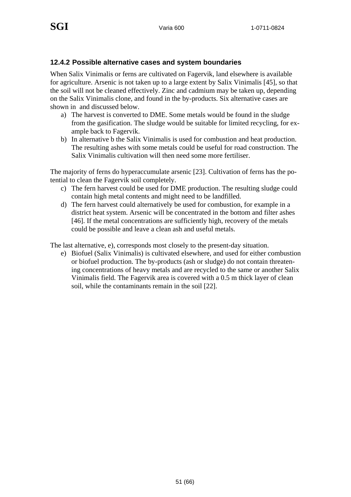#### **12.4.2 Possible alternative cases and system boundaries**

When Salix Vinimalis or ferns are cultivated on Fagervik, land elsewhere is available for agriculture. Arsenic is not taken up to a large extent by Salix Vinimalis [45], so that the soil will not be cleaned effectively. Zinc and cadmium may be taken up, depending on the Salix Vinimalis clone, and found in the by-products. Six alternative cases are shown in and discussed below.

- a) The harvest is converted to DME. Some metals would be found in the sludge from the gasification. The sludge would be suitable for limited recycling, for example back to Fagervik.
- b) In alternative b the Salix Vinimalis is used for combustion and heat production. The resulting ashes with some metals could be useful for road construction. The Salix Vinimalis cultivation will then need some more fertiliser.

The majority of ferns do hyperaccumulate arsenic [23]. Cultivation of ferns has the potential to clean the Fagervik soil completely.

- c) The fern harvest could be used for DME production. The resulting sludge could contain high metal contents and might need to be landfilled.
- d) The fern harvest could alternatively be used for combustion, for example in a district heat system. Arsenic will be concentrated in the bottom and filter ashes [46]. If the metal concentrations are sufficiently high, recovery of the metals could be possible and leave a clean ash and useful metals.

The last alternative, e), corresponds most closely to the present-day situation.

e) Biofuel (Salix Vinimalis) is cultivated elsewhere, and used for either combustion or biofuel production. The by-products (ash or sludge) do not contain threatening concentrations of heavy metals and are recycled to the same or another Salix Vinimalis field. The Fagervik area is covered with a 0.5 m thick layer of clean soil, while the contaminants remain in the soil [22].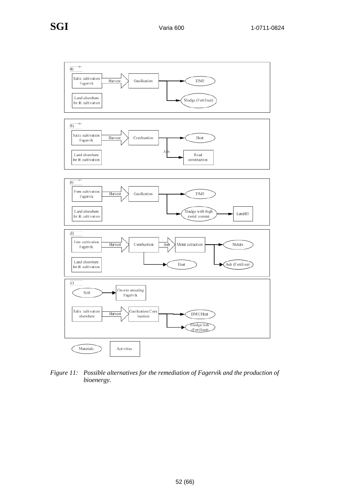

*Figure 11: Possible alternatives for the remediation of Fagervik and the production of bioenergy.*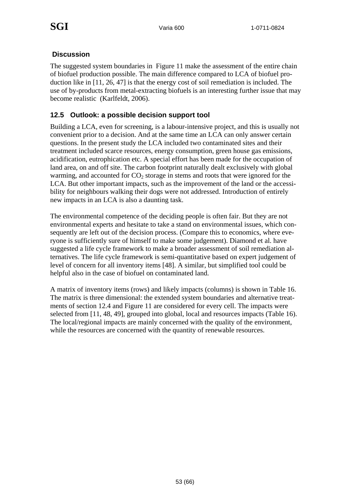#### **Discussion**

The suggested system boundaries in Figure 11 make the assessment of the entire chain of biofuel production possible. The main difference compared to LCA of biofuel production like in [11, 26, 47] is that the energy cost of soil remediation is included. The use of by-products from metal-extracting biofuels is an interesting further issue that may become realistic (Karlfeldt, 2006).

#### **12.5 Outlook: a possible decision support tool**

Building a LCA, even for screening, is a labour-intensive project, and this is usually not convenient prior to a decision. And at the same time an LCA can only answer certain questions. In the present study the LCA included two contaminated sites and their treatment included scarce resources, energy consumption, green house gas emissions, acidification, eutrophication etc. A special effort has been made for the occupation of land area, on and off site. The carbon footprint naturally dealt exclusively with global warming, and accounted for  $CO<sub>2</sub>$  storage in stems and roots that were ignored for the LCA. But other important impacts, such as the improvement of the land or the accessibility for neighbours walking their dogs were not addressed. Introduction of entirely new impacts in an LCA is also a daunting task.

The environmental competence of the deciding people is often fair. But they are not environmental experts and hesitate to take a stand on environmental issues, which consequently are left out of the decision process. (Compare this to economics, where everyone is sufficiently sure of himself to make some judgement). Diamond et al. have suggested a life cycle framework to make a broader assessment of soil remediation alternatives. The life cycle framework is semi-quantitative based on expert judgement of level of concern for all inventory items [48]. A similar, but simplified tool could be helpful also in the case of biofuel on contaminated land.

A matrix of inventory items (rows) and likely impacts (columns) is shown in Table 16. The matrix is three dimensional: the extended system boundaries and alternative treatments of section 12.4 and Figure 11 are considered for every cell. The impacts were selected from [11, 48, 49], grouped into global, local and resources impacts (Table 16). The local/regional impacts are mainly concerned with the quality of the environment, while the resources are concerned with the quantity of renewable resources.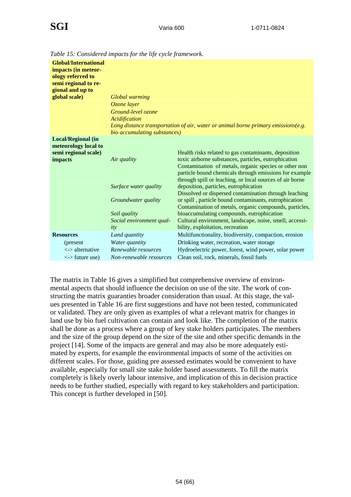| <b>Global/International</b><br>impacts (in meteor-<br>ology referred to<br>semi regional to re-<br>gional and up to |                              |                                                                                                                                                                                                                                     |
|---------------------------------------------------------------------------------------------------------------------|------------------------------|-------------------------------------------------------------------------------------------------------------------------------------------------------------------------------------------------------------------------------------|
| global scale)                                                                                                       | <b>Global</b> warming        |                                                                                                                                                                                                                                     |
|                                                                                                                     | Ozone layer                  |                                                                                                                                                                                                                                     |
|                                                                                                                     | Ground-level ozone           |                                                                                                                                                                                                                                     |
|                                                                                                                     | Acidification                |                                                                                                                                                                                                                                     |
|                                                                                                                     |                              | Long distance transportation of air, water or animal borne primary emissions(e.g.                                                                                                                                                   |
|                                                                                                                     | bio accumulating substances) |                                                                                                                                                                                                                                     |
| <b>Local/Regional (in</b><br>meteorology local to                                                                   |                              |                                                                                                                                                                                                                                     |
| semi regional scale)                                                                                                |                              | Health risks related to gas contaminants, deposition                                                                                                                                                                                |
| impacts                                                                                                             | Air quality                  | toxic airborne substances, particles, eutrophication<br>Contamination of metals, organic species or other non<br>particle bound chemicals through emissions for example<br>through spill or leaching, or local sources of air borne |
|                                                                                                                     | Surface water quality        | deposition, particles, eutrophication<br>Dissolved or dispersed contamination through leaching                                                                                                                                      |
|                                                                                                                     | <i>Groundwater quality</i>   | or spill, particle bound contaminants, eutrophication<br>Contamination of metals, organic compounds, particles,                                                                                                                     |
|                                                                                                                     | Soil quality                 | bioaccumulating compounds, eutrophication                                                                                                                                                                                           |
|                                                                                                                     | Social environment qual-     | Cultural environment, landscape, noise, smell, accessi-                                                                                                                                                                             |
|                                                                                                                     | ity                          | bility, exploitation, recreation                                                                                                                                                                                                    |
| <b>Resources</b>                                                                                                    | Land quantity                | Multifunctionality, biodiversity, compaction, erosion                                                                                                                                                                               |
| (present)                                                                                                           | Water quantity               | Drinking water, recreation, water storage                                                                                                                                                                                           |
| $\langle$ -> alternative                                                                                            | Renewable resources          | Hydroelectric power, forest, wind power, solar power                                                                                                                                                                                |
| $\langle$ -> future use)                                                                                            | Non-renewable resources      | Clean soil, rock, minerals, fossil fuels                                                                                                                                                                                            |

*Table 15: Considered impacts for the life cycle framework.* 

The matrix in Table 16 gives a simplified but comprehensive overview of environmental aspects that should influence the decision on use of the site. The work of constructing the matrix guaranties broader consideration than usual. At this stage, the values presented in Table 16 are first suggestions and have not been tested, communicated or validated. They are only given as examples of what a relevant matrix for changes in land use by bio fuel cultivation can contain and look like. The completion of the matrix shall be done as a process where a group of key stake holders participates. The members and the size of the group depend on the size of the site and other specific demands in the project [14]. Some of the impacts are general and may also be more adequately estimated by experts, for example the environmental impacts of some of the activities on different scales. For those, guiding pre assessed estimates would be convenient to have available, especially for small site stake holder based assessments. To fill the matrix completely is likely overly labour intensive, and implication of this in decision practice needs to be further studied, especially with regard to key stakeholders and participation. This concept is further developed in [50].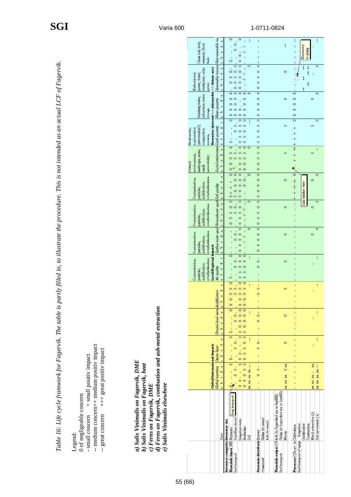|                                                                                                                                                            |                                                                                                                                                                         |                                                                                                                                                                                                       |                                                                                                           | $\mathbf{v}$        | $\circ$                                                              |                                            | $\circ$<br>$\bar{\rm r}$                                                                                         |                 | ÷                                   |                                     |                                                         |                                       |                 |                                    |                         |                            |                      |                   |
|------------------------------------------------------------------------------------------------------------------------------------------------------------|-------------------------------------------------------------------------------------------------------------------------------------------------------------------------|-------------------------------------------------------------------------------------------------------------------------------------------------------------------------------------------------------|-----------------------------------------------------------------------------------------------------------|---------------------|----------------------------------------------------------------------|--------------------------------------------|------------------------------------------------------------------------------------------------------------------|-----------------|-------------------------------------|-------------------------------------|---------------------------------------------------------|---------------------------------------|-----------------|------------------------------------|-------------------------|----------------------------|----------------------|-------------------|
|                                                                                                                                                            |                                                                                                                                                                         |                                                                                                                                                                                                       | Renewable resourc Non-renewable reso<br>Clean soil, rock,<br>minerals, fossil                             | ᆔ<br>o              |                                                                      | ó<br>$\circ$                               | $\epsilon$ , we<br>$\sim$<br>$\mathbf{I}$                                                                        |                 |                                     |                                     |                                                         |                                       | $\ddagger$      | ŧ                                  |                         | Electricity<br>durnd op    |                      |                   |
|                                                                                                                                                            |                                                                                                                                                                         |                                                                                                                                                                                                       | fuels                                                                                                     | م                   | $\circ$                                                              |                                            | $\circ$<br>$\circ$                                                                                               |                 |                                     |                                     |                                                         |                                       |                 | ŧ                                  |                         |                            |                      |                   |
|                                                                                                                                                            |                                                                                                                                                                         |                                                                                                                                                                                                       |                                                                                                           | œ<br>۳              | $\circ$                                                              | $\circ$<br>$\circ$                         | $\overline{\circ}$<br>$\circ$<br>ç.                                                                              | $\blacksquare$  | $\circ$<br>$\circ$                  |                                     |                                                         |                                       | $\circ$         |                                    |                         | $\ddagger$<br>$\ddagger$   |                      | $\circ$           |
|                                                                                                                                                            |                                                                                                                                                                         |                                                                                                                                                                                                       | windpower, solar<br>Resources (present <-> alternative <-> future use)<br>Hydroelectric<br>power, forest, | U                   | $\circ$                                                              | $\circ$ $\circ$<br>$\circ$ $\circ$ $\circ$ |                                                                                                                  |                 | $\circ$<br>$\circ$                  |                                     |                                                         |                                       |                 |                                    |                         | $\ddagger$                 |                      |                   |
|                                                                                                                                                            |                                                                                                                                                                         |                                                                                                                                                                                                       | rewod                                                                                                     | م                   | $\circ$                                                              | $\circ$<br>$\circ$ $\circ$                 | $\circ$                                                                                                          | $\circ$ $\circ$ | $\circ$<br>$\circ$                  |                                     |                                                         |                                       |                 | $\circ$                            |                         |                            |                      | $\circ$           |
|                                                                                                                                                            |                                                                                                                                                                         |                                                                                                                                                                                                       | rekreation, water                                                                                         | ¢<br>ᆔ              | ۰                                                                    | $\circ$                                    | $\circ$                                                                                                          |                 | $\circ$                             |                                     |                                                         |                                       | $\circ$         | $\circ$                            |                         |                            | $\circ$              |                   |
|                                                                                                                                                            |                                                                                                                                                                         |                                                                                                                                                                                                       | Drinking water,<br>Water quantity<br>storage                                                              | U<br>م              |                                                                      | $\circ$ $\circ$<br>$\circ$ $\circ$         | $\circ$<br>$\circ$ $\circ$                                                                                       |                 | $\circ$<br>$\circ$                  |                                     |                                                         |                                       |                 | Ó<br>$\circ$                       |                         |                            |                      |                   |
|                                                                                                                                                            |                                                                                                                                                                         |                                                                                                                                                                                                       |                                                                                                           | œ                   | $\circ$                                                              |                                            | $\circ$ $\circ$ $\circ$<br>$\circ$<br>$\circ$                                                                    |                 | $\circ$<br>$\overline{\phantom{a}}$ |                                     |                                                         |                                       |                 | Ó<br>$\overline{\circ}$            |                         |                            |                      | $\circ$           |
|                                                                                                                                                            |                                                                                                                                                                         |                                                                                                                                                                                                       |                                                                                                           | ᆏ                   |                                                                      | $\circ$                                    | $\circ$ $\circ$ $\circ$<br>$\circ$ $\circ$                                                                       |                 | $\circ$<br>$\circ$                  |                                     |                                                         |                                       | $\circ$         | ÷                                  |                         |                            | $\circ$              |                   |
|                                                                                                                                                            |                                                                                                                                                                         |                                                                                                                                                                                                       | (interensable?),<br>Land quantiy<br>Biodiversity,<br>exploatation<br>compaction,<br>erosion,              | o<br>o              |                                                                      |                                            | $\circ$<br>$\circ$                                                                                               |                 | $\circ$                             |                                     |                                                         |                                       |                 | ÷                                  |                         |                            |                      |                   |
|                                                                                                                                                            |                                                                                                                                                                         |                                                                                                                                                                                                       |                                                                                                           | Φ                   | $\circ$<br>$\circ$                                                   | $\mathbf{r}$                               | $\circ$<br>$\circ$<br>$\overline{\phantom{0}}$<br>$\circ$                                                        | $\circ$         | $\circ$<br>$\circ$                  |                                     |                                                         |                                       |                 | $\ddagger$                         |                         |                            |                      |                   |
|                                                                                                                                                            |                                                                                                                                                                         |                                                                                                                                                                                                       |                                                                                                           | ᆔ<br>o              |                                                                      | $\circ$ $\circ$<br>$\circ$ $\circ$         | $\circ$ $\circ$<br>$\circ$ $\circ$                                                                               |                 | $\circ$<br>$\circ$                  |                                     |                                                         |                                       | $\circ$         |                                    |                         |                            | $\circ$              |                   |
|                                                                                                                                                            |                                                                                                                                                                         |                                                                                                                                                                                                       | Social environmen<br>landscape, noise,<br>environment,<br>accessability<br>Cultural<br>smell,             | م                   | $\circ$<br>$\circ$                                                   |                                            | $\circ$<br>$\circ$<br>$\circ$<br>$\circ$                                                                         |                 | $\circ$<br>$\circ$                  |                                     |                                                         |                                       |                 |                                    |                         |                            |                      |                   |
|                                                                                                                                                            |                                                                                                                                                                         |                                                                                                                                                                                                       |                                                                                                           | $\pmb{\omega}$      |                                                                      | $\circ$ $\circ$<br>$\circ$                 | $\circ$                                                                                                          | $\Box$          | $\overline{\phantom{0}}$<br>$\circ$ |                                     |                                                         |                                       | $\circ$         | $\overline{\circ}$                 |                         |                            | $\circ$              |                   |
|                                                                                                                                                            |                                                                                                                                                                         |                                                                                                                                                                                                       |                                                                                                           | ۳<br>U              |                                                                      | $\circ$                                    | $\circ$ $\circ$<br>$\circ$ $\circ$                                                                               |                 | $\circ$                             |                                     |                                                         |                                       |                 | $\ddagger$<br>$\ddagger$           |                         |                            |                      |                   |
|                                                                                                                                                            |                                                                                                                                                                         |                                                                                                                                                                                                       | overfertilisation<br>Contamination,<br>acidification,<br>Groundwater quali Soil quality<br>particles,     | م                   | $\ddot{}$<br>$\circ$                                                 | $\circ$<br>$\circ$ $\circ$                 | $\circ$                                                                                                          |                 | $\circ$<br>$\circ$                  |                                     |                                                         |                                       |                 |                                    |                         | Salix hinders view         |                      |                   |
|                                                                                                                                                            |                                                                                                                                                                         |                                                                                                                                                                                                       |                                                                                                           | œ                   | $\circ$<br>$\circ$                                                   | $\circ$                                    | $\circ$<br>$\circ$                                                                                               | $\circ$         | $\circ$<br>$\circ$                  |                                     |                                                         |                                       | $\circ$         | î,                                 |                         |                            | ŏ                    |                   |
|                                                                                                                                                            |                                                                                                                                                                         |                                                                                                                                                                                                       | overfertilisation<br>Contamination,<br>acidification,                                                     | ᆔ<br>o              | $\circ$                                                              | $\circ$                                    | $\sim$<br>$\circ$<br>$\sim$                                                                                      |                 | $\circ$                             |                                     |                                                         |                                       |                 |                                    |                         |                            |                      |                   |
|                                                                                                                                                            |                                                                                                                                                                         |                                                                                                                                                                                                       | particles,                                                                                                | م                   | $\circ$<br>$\circ$                                                   |                                            | $\circ$<br>ŧ                                                                                                     |                 | $\circ$<br>$\circ$                  |                                     |                                                         |                                       |                 |                                    |                         |                            |                      |                   |
|                                                                                                                                                            |                                                                                                                                                                         |                                                                                                                                                                                                       | Surface water qual                                                                                        | $\pmb{\omega}$<br>٣ |                                                                      | $\circ$                                    | $0$ 0 0<br>$\sim$                                                                                                | $\circ$         | $\circ$<br>$\circ$                  |                                     |                                                         |                                       | $\circ$         |                                    |                         |                            | $\circ$              | 0                 |
|                                                                                                                                                            |                                                                                                                                                                         |                                                                                                                                                                                                       | overfertilisation<br>Contamination,<br>acidification,                                                     | Ù                   |                                                                      | $\circ$                                    | $\circ$<br>$\sim$<br>$\circ$                                                                                     |                 | $\circ$<br>$\circ$                  |                                     |                                                         |                                       |                 |                                    |                         |                            |                      |                   |
|                                                                                                                                                            |                                                                                                                                                                         |                                                                                                                                                                                                       | particles,<br>impacts                                                                                     |                     |                                                                      |                                            | $\circ$                                                                                                          |                 | $\circ$                             |                                     |                                                         |                                       |                 |                                    |                         |                            |                      |                   |
|                                                                                                                                                            |                                                                                                                                                                         |                                                                                                                                                                                                       |                                                                                                           | ¢<br>٣              | $\circ$                                                              | á                                          | $\overline{\circ}$<br>$\circ$<br>$\circ$ $\circ$                                                                 |                 | $\circ$                             |                                     |                                                         |                                       | $\circ$         |                                    |                         |                            |                      |                   |
|                                                                                                                                                            |                                                                                                                                                                         |                                                                                                                                                                                                       | Local/Regional<br>overfertilisation<br>Contamination,<br>acidification,<br>Air quality<br>particles,      | p                   |                                                                      | $\circ$                                    | $\circ$ $\circ$<br>$\circ$<br>$\circ$                                                                            |                 | $\circ$                             |                                     |                                                         |                                       |                 |                                    |                         |                            |                      |                   |
|                                                                                                                                                            |                                                                                                                                                                         |                                                                                                                                                                                                       |                                                                                                           | م                   | $\circ$<br>$\circ$                                                   |                                            | $\circ$<br>$\circ$<br>$\circ$                                                                                    |                 |                                     |                                     |                                                         |                                       |                 |                                    |                         |                            |                      |                   |
|                                                                                                                                                            |                                                                                                                                                                         |                                                                                                                                                                                                       |                                                                                                           | $\omega$            | $\circ$                                                              | $\qquad \qquad \circ$                      | P<br>$\circ$ $\circ$                                                                                             | ÷               | $\circ$                             |                                     |                                                         |                                       | $\circ$         |                                    |                         |                            |                      |                   |
|                                                                                                                                                            |                                                                                                                                                                         |                                                                                                                                                                                                       |                                                                                                           | $\mathbf{u}$        | $\circ$<br>ö                                                         | $\circ$                                    | $\circ$<br>$\circ$<br>ö<br>$\circ$                                                                               |                 | $\circ$                             |                                     |                                                         |                                       |                 |                                    |                         |                            |                      |                   |
|                                                                                                                                                            |                                                                                                                                                                         |                                                                                                                                                                                                       | Ground-level ozon Acidification                                                                           | a<br>a              | $\circ$<br>$\circ$                                                   |                                            | $\hskip1.6pt\hskip1.5pt\hskip1.5pt\hskip1.5pt\hskip1.5pt\hskip1.5pt\hskip1.5pt$<br>$\circ$<br>$\circ$<br>$\circ$ |                 |                                     |                                     |                                                         |                                       |                 |                                    |                         |                            |                      |                   |
|                                                                                                                                                            |                                                                                                                                                                         |                                                                                                                                                                                                       |                                                                                                           | $\pmb{\omega}$<br>۳ |                                                                      | o                                          | $\circ$                                                                                                          | ÷               | ó<br>ö                              |                                     |                                                         |                                       | 0               |                                    |                         |                            |                      |                   |
|                                                                                                                                                            |                                                                                                                                                                         |                                                                                                                                                                                                       |                                                                                                           | $\mathbf{o}$<br>م   |                                                                      | 0                                          | ∘                                                                                                                |                 |                                     |                                     |                                                         |                                       |                 |                                    |                         |                            |                      |                   |
|                                                                                                                                                            |                                                                                                                                                                         |                                                                                                                                                                                                       |                                                                                                           |                     | ö<br>$\overline{\bullet}$                                            |                                            | ö<br>$\circ$<br>$\overline{\circ}$<br>$\circ$                                                                    |                 |                                     |                                     |                                                         |                                       |                 |                                    |                         |                            |                      |                   |
|                                                                                                                                                            |                                                                                                                                                                         |                                                                                                                                                                                                       |                                                                                                           | $\pmb{\omega}$<br>۳ |                                                                      | ó<br>ö                                     | $\frac{1}{2}$                                                                                                    |                 | ö<br>ö                              |                                     |                                                         |                                       | $\circ$         |                                    |                         |                            |                      |                   |
|                                                                                                                                                            |                                                                                                                                                                         |                                                                                                                                                                                                       | Czone layer                                                                                               | ¢                   |                                                                      |                                            | ó<br>$\ddot{\phantom{0}}$                                                                                        |                 |                                     |                                     |                                                         |                                       |                 |                                    |                         |                            |                      |                   |
|                                                                                                                                                            |                                                                                                                                                                         |                                                                                                                                                                                                       | <b>Global/International impacts</b>                                                                       | ø                   | o<br>o                                                               |                                            | ö<br>$\circ$<br>$\circ$<br>$\circ$                                                                               |                 |                                     |                                     |                                                         |                                       |                 |                                    |                         |                            |                      |                   |
|                                                                                                                                                            |                                                                                                                                                                         |                                                                                                                                                                                                       | Global warning                                                                                            | ᆏ                   |                                                                      | ó<br>$\circ$                               | $\circ$                                                                                                          |                 | $\circ$<br>ö                        |                                     |                                                         |                                       | 0 <sub>na</sub> |                                    |                         |                            | na na na - na        | na na na na --    |
|                                                                                                                                                            |                                                                                                                                                                         |                                                                                                                                                                                                       |                                                                                                           | م                   | ⊿                                                                    |                                            | $\frac{1}{2}$<br>$\circ$<br>$\overline{\phantom{0}}$<br>$\circ$                                                  | na na na na     |                                     |                                     |                                                         |                                       | na na na        |                                    |                         |                            |                      |                   |
|                                                                                                                                                            |                                                                                                                                                                         |                                                                                                                                                                                                       |                                                                                                           |                     |                                                                      |                                            |                                                                                                                  |                 |                                     |                                     |                                                         |                                       |                 |                                    |                         |                            |                      |                   |
|                                                                                                                                                            |                                                                                                                                                                         |                                                                                                                                                                                                       |                                                                                                           |                     |                                                                      |                                            |                                                                                                                  |                 |                                     |                                     |                                                         |                                       |                 |                                    |                         |                            |                      |                   |
|                                                                                                                                                            |                                                                                                                                                                         |                                                                                                                                                                                                       |                                                                                                           |                     |                                                                      | long transport                             |                                                                                                                  |                 |                                     |                                     |                                                         | Shidge (to byproduct use or landfill) |                 |                                    |                         |                            |                      |                   |
|                                                                                                                                                            |                                                                                                                                                                         |                                                                                                                                                                                                       |                                                                                                           |                     |                                                                      |                                            |                                                                                                                  |                 |                                     |                                     |                                                         |                                       |                 |                                    |                         |                            | Metal extraction (d) | Soil movement (e) |
|                                                                                                                                                            |                                                                                                                                                                         |                                                                                                                                                                                                       |                                                                                                           |                     |                                                                      | Salix/fem shoots                           | Imigation water                                                                                                  |                 |                                     | Shidge (to reuse)<br>Ash (to reuse) |                                                         |                                       |                 |                                    | Inigation               | Gasification<br>Combustion |                      |                   |
|                                                                                                                                                            |                                                                                                                                                                         |                                                                                                                                                                                                       |                                                                                                           | Case:               |                                                                      |                                            | Herbicides                                                                                                       | 3               |                                     |                                     |                                                         |                                       | Metals          |                                    |                         |                            |                      |                   |
| Table 16: Life cycle framwork for Fagervik. The table is partly filled in, to illustrate the procedure. This is not intended as an actual LCF of Fagervik. | -- medium concern++ medium positiv impact<br>-- great concern +++ great positiv impact<br>- small concern + small positiv impact<br>0 of negligeable concern<br>Legend: | d) Ferns on Fagervik, combustion and ash-metal extraction<br>a) Salix Vinimalis on Fagervik, DME<br>b) Salix Vinimalis on Fagervik, heat<br>e) Salix Vinimalis elsewhere<br>c) Ferns on Fagervik, DME |                                                                                                           |                     | Inventory categories Inventory list<br>Materials input (NB Nutrients |                                            |                                                                                                                  |                 | Materials distributi Harvest        |                                     | Materials output (Ol Ash (to byproduct use or landfill) |                                       |                 | Processes (Obs ev. tr. Cultivation | Incl transport of equip |                            |                      |                   |
|                                                                                                                                                            |                                                                                                                                                                         |                                                                                                                                                                                                       |                                                                                                           |                     |                                                                      |                                            |                                                                                                                  |                 |                                     |                                     |                                                         |                                       |                 |                                    |                         |                            |                      |                   |
|                                                                                                                                                            |                                                                                                                                                                         |                                                                                                                                                                                                       |                                                                                                           |                     |                                                                      | Incl transport                             |                                                                                                                  |                 |                                     | =transport                          |                                                         | Incl transport                        |                 |                                    |                         |                            |                      |                   |
|                                                                                                                                                            |                                                                                                                                                                         |                                                                                                                                                                                                       |                                                                                                           |                     |                                                                      |                                            |                                                                                                                  |                 |                                     |                                     |                                                         |                                       |                 |                                    |                         |                            |                      |                   |
|                                                                                                                                                            |                                                                                                                                                                         |                                                                                                                                                                                                       | 55 (66)                                                                                                   |                     |                                                                      |                                            |                                                                                                                  |                 |                                     |                                     |                                                         |                                       |                 |                                    |                         |                            |                      |                   |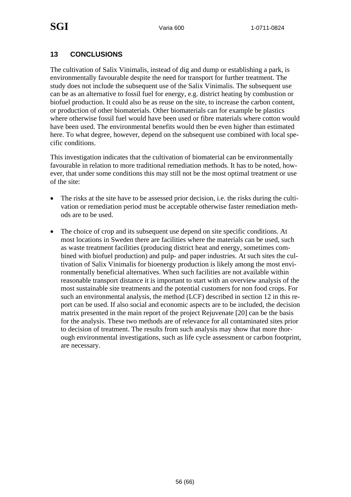#### **13 CONCLUSIONS**

The cultivation of Salix Vinimalis, instead of dig and dump or establishing a park, is environmentally favourable despite the need for transport for further treatment. The study does not include the subsequent use of the Salix Vinimalis. The subsequent use can be as an alternative to fossil fuel for energy, e.g. district heating by combustion or biofuel production. It could also be as reuse on the site, to increase the carbon content, or production of other biomaterials. Other biomaterials can for example be plastics where otherwise fossil fuel would have been used or fibre materials where cotton would have been used. The environmental benefits would then be even higher than estimated here. To what degree, however, depend on the subsequent use combined with local specific conditions.

This investigation indicates that the cultivation of biomaterial can be environmentally favourable in relation to more traditional remediation methods. It has to be noted, however, that under some conditions this may still not be the most optimal treatment or use of the site:

- The risks at the site have to be assessed prior decision, i.e. the risks during the cultivation or remediation period must be acceptable otherwise faster remediation methods are to be used.
- The choice of crop and its subsequent use depend on site specific conditions. At most locations in Sweden there are facilities where the materials can be used, such as waste treatment facilities (producing district heat and energy, sometimes combined with biofuel production) and pulp- and paper industries. At such sites the cultivation of Salix Vinimalis for bioenergy production is likely among the most environmentally beneficial alternatives. When such facilities are not available within reasonable transport distance it is important to start with an overview analysis of the most sustainable site treatments and the potential customers for non food crops. For such an environmental analysis, the method (LCF) described in section 12 in this report can be used. If also social and economic aspects are to be included, the decision matrix presented in the main report of the project Rejuvenate [20] can be the basis for the analysis. These two methods are of relevance for all contaminated sites prior to decision of treatment. The results from such analysis may show that more thorough environmental investigations, such as life cycle assessment or carbon footprint, are necessary.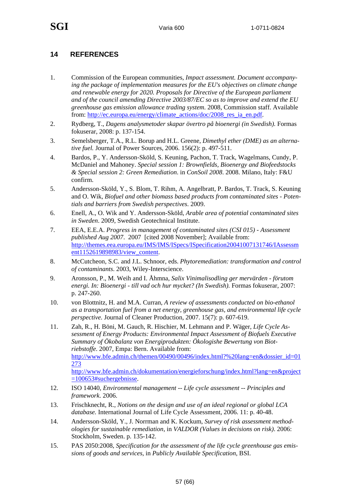#### **14 REFERENCES**

- 1. Commission of the European communities, *Impact assessment. Document accompanying the package of implementation measures for the EU's objectives on climate change and renewable energy for 2020. Proposals for Directive of the European parliament and of the council amending Directive 2003/87/EC so as to improve and extend the EU greenhouse gas emission allowance trading system*. 2008, Commission staff. Available from: http://ec.europa.eu/energy/climate\_actions/doc/2008\_res\_ia\_en.pdf.
- 2. Rydberg, T., *Dagens analysmetoder skapar övertro på bioenergi (in Swedish).* Formas fokuserar, 2008: p. 137-154.
- 3. Semelsberger, T.A., R.L. Borup and H.L. Greene, *Dimethyl ether (DME) as an alternative fuel.* Journal of Power Sources, 2006. 156(2): p. 497-511.
- 4. Bardos, P., Y. Andersson-Sköld, S. Keuning, Pachon, T. Track, Wagelmans, Cundy, P. McDaniel and Mahoney. *Special session 1: Brownfields, Bioenergy and Biofeedstocks & Special session 2: Green Remediation*. in *ConSoil 2008*. 2008. Milano, Italy: F&U confirm.
- 5. Andersson-Sköld, Y., S. Blom, T. Rihm, A. Angelbratt, P. Bardos, T. Track, S. Keuning and O. Wik, *Biofuel and other biomass based products from contaminated sites - Potentials and barriers from Swedish perspectives*. 2009.
- 6. Enell, A., O. Wik and Y. Andersson-Sköld, *Arable area of potential contaminated sites in Sweden*. 2009, Swedish Geotechnical Institute.
- 7. EEA, E.E.A. *Progress in management of contaminated sites (CSI 015) Assessment published Aug 2007*. 2007 [cited 2008 November]; Available from: http://themes.eea.europa.eu/IMS/IMS/ISpecs/ISpecification20041007131746/IAssessm ent1152619898983/view\_content.
- 8. McCutcheon, S.C. and J.L. Schnoor, eds. *Phytoremediation: transformation and control of contaminants*. 2003, Wiley-Interscience.
- 9. Aronsson, P., M. Weih and I. Åhmna, *Salix Vinimalisodling ger mervärden förutom energi. In: Bioenergi - till vad och hur mycket? (In Swedish).* Formas fokuserar, 2007: p. 247-260.
- 10. von Blottnitz, H. and M.A. Curran, *A review of assessments conducted on bio-ethanol as a transportation fuel from a net energy, greenhouse gas, and environmental life cycle perspective.* Journal of Cleaner Production, 2007. 15(7): p. 607-619.
- 11. Zah, R., H. Böni, M. Gauch, R. Hischier, M. Lehmann and P. Wäger, *Life Cycle Assessment of Energy Products: Environmental Impact Assessment of Biofuels Executive Summary of Ökobalanz von Energiprodukten: Ökologishe Bewertung von Biotriebstoffe*. 2007, Empa: Bern. Available from: http://www.bfe.admin.ch/themen/00490/00496/index.html?%20lang=en&dossier\_id=01 273 http://www.bfe.admin.ch/dokumentation/energieforschung/index.html?lang=en&project =100653#suchergebnisse.
- 12. ISO 14040, *Environmental management -- Life cycle assessment -- Principles and framework*. 2006.
- 13. Frischknecht, R., *Notions on the design and use of an ideal regional or global LCA database.* International Journal of Life Cycle Assessment, 2006. 11: p. 40-48.
- 14. Andersson-Sköld, Y., J. Norrman and K. Kockum, *Survey of risk assessment methodologies for sustainable remediation*, in *VALDOR (Values in decisions on risk)*. 2006: Stockholm, Sweden. p. 135-142.
- 15. PAS 2050:2008, *Specification for the assessment of the life cycle greenhouse gas emissions of goods and services*, in *Publicly Available Specification*, BSI.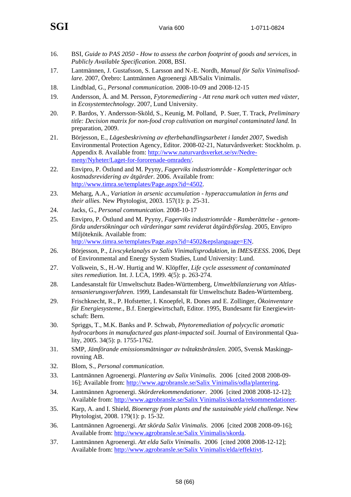- 16. BSI, *Guide to PAS 2050 How to assess the carbon footprint of goods and services*, in *Publicly Available Specification*. 2008, BSI.
- 17. Lantmännen, J. Gustafsson, S. Larsson and N.-E. Nordh, *Manual för Salix Vinimalisodlare*. 2007, Örebro: Lantmännen Agroenergi AB/Salix Vinimalis.
- 18. Lindblad, G., *Personal communication.* 2008-10-09 and 2008-12-15
- 19. Andersson, Å. and M. Persson, *Fytoremediering Att rena mark och vatten med växter*, in *Ecosystemtechnology*. 2007, Lund University.
- 20. P. Bardos, Y. Andersson-Sköld, S., Keunig, M. Polland, P. Suer, T. Track, *Preliminary title: Decision matrix for non-food crop cultivation on marginal contaminated land.* In preparation, 2009.
- 21. Börjesson, E., *Lägesbeskrivning av efterbehandlingsarbetet i landet 2007*, Swedish Environmental Protection Agency, Editor. 2008-02-21, Naturvårdsverket: Stockholm. p. Appendix 8. Available from: http://www.naturvardsverket.se/sv/Nedremeny/Nyheter/Laget-for-fororenade-omraden/.
- 22. Envipro, P. Östlund and M. Pyyny, *Fagerviks industriområde Kompletteringar och kostnadsrevidering av åtgärder*. 2006. Available from: http://www.timra.se/templates/Page.aspx?id=4502.
- 23. Meharg, A.A., *Variation in arsenic accumulation hyperaccumulation in ferns and their allies.* New Phytologist, 2003. 157(1): p. 25-31.
- 24. Jacks, G., *Personal communication.* 2008-10-17
- 25. Envipro, P. Östlund and M. Pyyny, *Fagerviks industriområde Ramberättelse genomförda undersökningar och värderingar samt reviderat åtgärdsförslag*. 2005, Envipro Miljöteknik. Available from: http://www.timra.se/templates/Page.aspx?id=4502&epslanguage=EN.
- 26. Börjesson, P., *Livscykelanalys av Salix Vinimalisproduktion*, in *IMES/EESS*. 2006, Dept of Environmental and Energy System Studies, Lund University: Lund.
- 27. Volkwein, S., H.-W. Hurtig and W. Klöpffer, *Life cycle assessment of contaminated sites remediation.* Int. J. LCA, 1999. 4(5): p. 263-274.
- 28. Landesanstalt für Umweltschutz Baden-Württemberg, *Umweltbilanzierung von Altlastensanierungsverfahren*. 1999, Landesanstalt für Umweltschutz Baden-Württemberg.
- 29. Frischknecht, R., P. Hofstetter, I. Knoepfel, R. Dones and E. Zollinger, *Ökoinventare für Energiesysteme.*, B.f. Energiewirtschaft, Editor. 1995, Bundesamt für Energiewirtschaft: Bern.
- 30. Spriggs, T., M.K. Banks and P. Schwab, *Phytoremediation of polycyclic aromatic hydrocarbons in manufactured gas plant-impacted soil.* Journal of Environmental Quality, 2005. 34(5): p. 1755-1762.
- 31. SMP, *Jämförande emissionsmätningar av tvåtaktsbränslen*. 2005, Svensk Maskingprovning AB.
- 32. Blom, S., *Personal communication.*
- 33. Lantmännen Agroenergi. *Plantering av Salix Vinimalis*. 2006 [cited 2008 2008-09- 16]; Available from: http://www.agrobransle.se/Salix Vinimalis/odla/plantering.
- 34. Lantmännen Agroenergi. *Skörderekommendationer*. 2006 [cited 2008 2008-12-12]; Available from: http://www.agrobransle.se/Salix Vinimalis/skorda/rekommendationer.
- 35. Karp, A. and I. Shield, *Bioenergy from plants and the sustainable yield challenge.* New Phytologist, 2008. 179(1): p. 15-32.
- 36. Lantmännen Agroenergi. *Att skörda Salix Vinimalis*. 2006 [cited 2008 2008-09-16]; Available from: http://www.agrobransle.se/Salix Vinimalis/skorda.
- 37. Lantmännen Agroenergi. *Att elda Salix Vinimalis*. 2006 [cited 2008 2008-12-12]; Available from: http://www.agrobransle.se/Salix Vinimalis/elda/effektivt.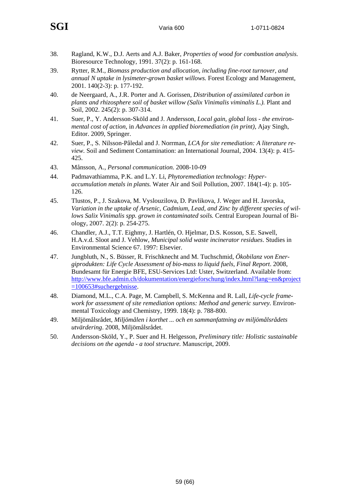- 38. Ragland, K.W., D.J. Aerts and A.J. Baker, *Properties of wood for combustion analysis.* Bioresource Technology, 1991. 37(2): p. 161-168.
- 39. Rytter, R.M., *Biomass production and allocation, including fine-root turnover, and annual N uptake in lysimeter-grown basket willows.* Forest Ecology and Management, 2001. 140(2-3): p. 177-192.
- 40. de Neergaard, A., J.R. Porter and A. Gorissen, *Distribution of assimilated carbon in plants and rhizosphere soil of basket willow (Salix Vinimalis viminalis L.).* Plant and Soil, 2002. 245(2): p. 307-314.
- 41. Suer, P., Y. Andersson-Sköld and J. Andersson, *Local gain, global loss the environmental cost of action*, in *Advances in applied bioremediation (in print)*, Ajay Singh, Editor. 2009, Springer.
- 42. Suer, P., S. Nilsson-Påledal and J. Norrman, *LCA for site remediation: A literature review.* Soil and Sediment Contamination: an International Journal, 2004. 13(4): p. 415- 425.
- 43. Månsson, A., *Personal communication.* 2008-10-09
- 44. Padmavathiamma, P.K. and L.Y. Li, *Phytoremediation technology: Hyperaccumulation metals in plants.* Water Air and Soil Pollution, 2007. 184(1-4): p. 105- 126.
- 45. Tlustos, P., J. Szakova, M. Vyslouzilova, D. Pavlikova, J. Weger and H. Javorska, *Variation in the uptake of Arsenic, Cadmium, Lead, and Zinc by different species of willows Salix Vinimalis spp. grown in contaminated soils.* Central European Journal of Biology, 2007. 2(2): p. 254-275.
- 46. Chandler, A.J., T.T. Eighmy, J. Hartlén, O. Hjelmar, D.S. Kosson, S.E. Sawell, H.A.v.d. Sloot and J. Vehlow, *Municipal solid waste incinerator residues*. Studies in Environmental Science 67. 1997: Elsevier.
- 47. Jungbluth, N., S. Büsser, R. Frischknecht and M. Tuchschmid, *Ökobilanz von Energiprodukten: Life Cycle Assessment of bio-mass to liquid fuels, Final Report*. 2008, Bundesamt für Energie BFE, ESU-Services Ltd: Uster, Switzerland. Available from: http://www.bfe.admin.ch/dokumentation/energieforschung/index.html?lang=en&project =100653#suchergebnisse.
- 48. Diamond, M.L., C.A. Page, M. Campbell, S. McKenna and R. Lall, *Life-cycle framework for assessment of site remediation options: Method and generic survey.* Environmental Toxicology and Chemistry, 1999. 18(4): p. 788-800.
- 49. Miljömålsrådet, *Miljömålen i korthet ... och en sammanfattning av miljömålsrådets utvärdering*. 2008, Miljömålsrådet.
- 50. Andersson-Sköld, Y., P. Suer and H. Helgesson, *Preliminary title: Holistic sustainable decisions on the agenda - a tool structure.* Manuscript, 2009.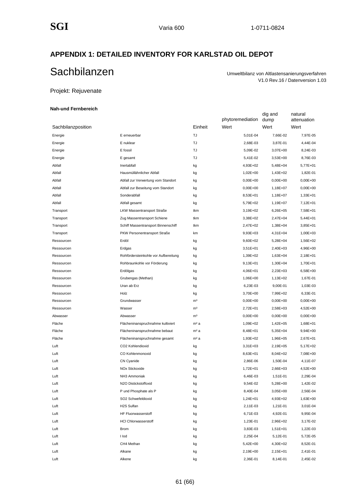#### **APPENDIX 1: DETAILED INVENTORY FOR KARLSTAD OIL DEPOT**

# Sachbilanzen Umweltbilanz von Altlastensanierungsverfahren

V1.0 Rev.16 / Datenversion 1.03

natural

dig and

#### Projekt: Rejuvenate

#### **Nah-und Fernbereich**

|                    |                                      |                  | phytoremediation | dump         | attenuation  |
|--------------------|--------------------------------------|------------------|------------------|--------------|--------------|
| Sachbilanzposition |                                      | Einheit          | Wert             | Wert         | Wert         |
| Energie            | E erneuerbar                         | TJ               | 5,01E-04         | 7,66E-02     | 7,97E-05     |
| Energie            | E nuklear                            | TJ               | 2,68E-03         | 3,87E-01     | 4,44E-04     |
| Energie            | E fossil                             | TJ               | 5,09E-02         | 3,07E+00     | 8,24E-03     |
| Energie            | E gesamt                             | TJ               | 5,41E-02         | 3,53E+00     | 8,76E-03     |
| Abfall             | Inertabfall                          | kg               | 4,93E+02         | 5,48E+04     | 5,77E+01     |
| Abfall             | Hausmüllähnlicher Abfall             | kg               | 1,02E+00         | 1,43E+02     | 1,82E-01     |
| Abfall             | Abfall zur Verwertung vom Standort   | kg               | $0,00E + 00$     | $0,00E + 00$ | $0.00E + 00$ |
| Abfall             | Abfall zur Beseitung vom Standort    | kg               | $0,00E + 00$     | 1,18E+07     | $0,00E + 00$ |
| Abfall             | Sonderabfall                         | kg               | 8,53E+01         | 1,18E+07     | 1,33E+01     |
| Abfall             | Abfall gesamt                        | kg               | 5,79E+02         | 1,19E+07     | 7,12E+01     |
| Transport          | <b>LKW Massentransport Straße</b>    | tkm              | 3,19E+02         | 6,26E+05     | 7,58E+01     |
| Transport          | Zug Massentransport Schiene          | tkm              | 3,38E+02         | 2,47E+04     | 5,44E+01     |
| Transport          | Schiff Massentransport Binnenschiff  | tkm              | 2,47E+02         | 1,38E+04     | 3,85E+01     |
| Transport          | PKW Personentransport Straße         | km               | $9,93E+03$       | 4,31E+04     | 1,00E+03     |
| Ressourcen         | Erdöl                                | kg               | 9,60E+02         | 5,28E+04     | 1,56E+02     |
| Ressourcen         | Erdgas                               | kg               | 3,51E+01         | 2,40E+03     | 4,96E+00     |
| Ressourcen         | Rohfördersteinkohle vor Aufbereitung | kg               | 1,39E+02         | 1,63E+04     | 2,18E+01     |
| Ressourcen         | Rohbraunkohle vor Förderung          | kg               | 9,13E+01         | 1,30E+04     | 1,70E+01     |
| Ressourcen         | Erdölgas                             | kg               | 4,06E+01         | 2,23E+03     | 6,58E+00     |
| Ressourcen         | Grubengas (Methan)                   | kg               | 1,06E+00         | 1,13E+02     | 1,67E-01     |
| Ressourcen         | Uran ab Erz                          | kg               | 6,23E-03         | 9,00E-01     | 1,03E-03     |
| Ressourcen         | Holz                                 | kg               | 3,70E+00         | 7,99E+02     | 6,33E-01     |
| Ressourcen         | Grundwasser                          | m <sup>3</sup>   | $0,00E + 00$     | 0,00E+00     | $0,00E + 00$ |
| Ressourcen         | Wasser                               | m <sup>3</sup>   | 2,72E+01         | 2,58E+03     | 4,52E+00     |
| Abwasser           | Abwasser                             | m <sup>3</sup>   | $0,00E + 00$     | $0,00E + 00$ | $0,00E+00$   |
| Fläche             | Flächeninanspruchnahme kultiviert    | m <sup>2</sup> a | 1,09E+02         | 1,42E+05     | 1,68E+01     |
| Fläche             | Flächeninanspruchnahme bebaut        | m <sup>2</sup> a | 8,48E+01         | 5,35E+04     | 9,94E+00     |
| Fläche             | Flächeninanspruchnahme gesamt        | m <sup>2</sup> a | 1,93E+02         | 1,96E+05     | 2,67E+01     |
| Luft               | CO2 Kohlendioxid                     | kg               | $3,31E+03$       | 2,19E+05     | 5,17E+02     |
| Luft               | CO Kohlenmonoxid                     | kg               | 8,63E+01         | 8,04E+02     | 7,08E+00     |
| Luft               | CN Cyanide                           | kg               | 2,86E-06         | 1,50E-04     | 4,11E-07     |
| Luft               | NOx Stickoxide                       | kg               | 1,72E+01         | 2,66E+03     | 4,52E+00     |
| Luft               | NH <sub>3</sub> Ammoniak             | kg               | 6,46E-03         | 1,51E-01     | 2,29E-04     |
| Luft               | N2O Distickstoffoxid                 | kg               | 9,54E-02         | 5,28E+00     | 1,42E-02     |
| Luft               | P und Phosphate als P                | kg               | 8,40E-04         | 3,05E+00     | 2,56E-04     |
| Luft               | SO2 Schwefeldioxid                   | kg               | 1,24E+01         | 4,93E+02     | 1,63E+00     |
| Luft               | H2S Sulfan                           | kg               | 2,11E-03         | 1,21E-01     | 3,01E-04     |
| Luft               | HF Fluorwasserstoff                  | kg               | 6,71E-03         | 4,92E-01     | 9,95E-04     |
| Luft               | <b>HCI Chlorwasserstoff</b>          | kg               | 1,23E-01         | 2,96E+02     | 3,17E-02     |
| Luft               | <b>Brom</b>                          | kg               | 3,83E-03         | 1,51E+01     | 1,22E-03     |
| Luft               | I lod                                | kg               | 2,25E-04         | 5,12E-01     | 5,72E-05     |
| Luft               | CH4 Methan                           | kg               | 5,42E+00         | 4,30E+02     | 8,52E-01     |
| Luft               | Alkane                               | kg               | 2,19E+00         | 2,15E+01     | 2,41E-01     |
| Luft               | Alkene                               | kg               | 2,36E-01         | 8,14E-01     | 2,45E-02     |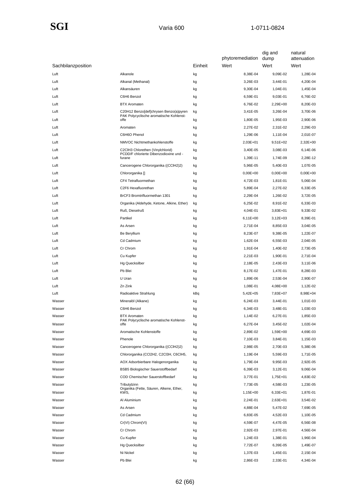### $\textbf{SGI}$  Varia 600 1-0711-0824

|                    |                                                                |         | phytoremediation | dig and<br>dump        | natural<br>attenuation |
|--------------------|----------------------------------------------------------------|---------|------------------|------------------------|------------------------|
| Sachbilanzposition |                                                                | Einheit | Wert             | Wert                   | Wert                   |
| Luft               | Alkanole                                                       | kg      | 8,38E-04         | 9,09E-02               | 1,28E-04               |
| Luft               | Alkanal (Methanal)                                             | kg      | 3,26E-03         | 3,44E-01               | 4,20E-04               |
| Luft               | Alkansäuren                                                    | kg      | 9,30E-04         | 1,04E-01               | 1,45E-04               |
| Luft               | C6H6 Benzol                                                    | kg      | 6,59E-01         | 9,03E-01               | 6,76E-02               |
| Luft               | <b>BTX Aromaten</b>                                            | kg      | 6,76E-02         | 2,29E+00               | 8,20E-03               |
| Luft               | C20H12 Benzo[def]chrysen Benzo(a)pyren                         | kg      | 3,41E-05         | 3,26E-04               | 3,70E-06               |
| Luft               | PAK Polycyclische aromatische Kohlenst-<br>offe                | kg      | 1,80E-05         | 1,95E-03               | 2,90E-06               |
| Luft               | Aromaten                                                       | kg      | 2,27E-02         | 2,31E-02               | 2,29E-03               |
| Luft               | C6H6O Phenol                                                   | kg      | 1,29E-06         | 1,11E-04               | 2,01E-07               |
| Luft               | NMVOC Nichtmethankohlenstoffe                                  | kg      | 2,03E+01         | 9,51E+02               | 2,32E+00               |
| Luft               | C2CIH3 Chlorethen (Vinylchlorid)                               | kg      | 3,40E-05         | 3,08E-03               | 6,14E-06               |
| Luft               | PCDD/F chlorierte Dibenzodioxine und -<br>furane               | kg      | 1,39E-11         | 1,74E-09               | 2,28E-12               |
| Luft               | Cancerogene Chlororganika ((CCIH2)2)                           | kg      | 5,96E-05         | 5,40E-03               | 1,07E-05               |
| Luft               | Chlororganika []                                               | kg      | $0,00E + 00$     | $0,00E + 00$           | $0.00E + 00$           |
| Luft               | CF4 Tetrafluormethan                                           | kg      | 4,72E-03         | 1,81E-01               | 5,06E-04               |
| Luft               | C2F6 Hexafluorethan                                            | kg      | 5,89E-04         | 2,27E-02               | 6,33E-05               |
| Luft               | BrCF3 Bromtrifluormethan 1301                                  | kg      | 2,29E-04         | 1,26E-02               | 3,72E-05               |
| Luft               | Organika (Aldehyde, Ketone, Alkine, Ether)                     |         | 6,25E-02         | 8,91E-02               | 6,33E-03               |
| Luft               | Ruß, Dieselruß                                                 | kg      | 4,04E-01         | $3,83E+01$             | 9,33E-02               |
| Luft               | Partikel                                                       | kg      | $6,11E+00$       |                        |                        |
| Luft               | As Arsen                                                       | kg      | 2,71E-04         | $3,12E+03$<br>8,85E-03 | 8,39E-01<br>3,04E-05   |
|                    |                                                                | kg      |                  |                        |                        |
| Luft               | Be Beryllium                                                   | kg      | 8,23E-07         | 9,38E-05               | 1,22E-07               |
| Luft               | Cd Cadmium                                                     | kg      | 1,62E-04         | 6,55E-03               | 2,04E-05               |
| Luft               | Cr Chrom                                                       | kg      | 1,91E-04         | 1,40E-02               | 2,73E-05               |
| Luft               | Cu Kupfer                                                      | kg      | 2,21E-03         | 1,90E-01               | 2,71E-04               |
| Luft               | <b>Hg Quecksilber</b>                                          | kg      | 2,18E-05         | 2,43E-03               | 3,11E-06               |
| Luft               | Pb Blei                                                        | kg      | 8,17E-02         | 1,47E-01               | 8,28E-03               |
| Luft               | U Uran                                                         | kg      | 1,89E-06         | 2,53E-04               | 2,90E-07               |
| Luft               | Zn Zink                                                        | kg      | 1,08E-01         | 4,08E+00               | 1,12E-02               |
| Luft               | Radioaktive Strahlung                                          | kBq     | 5,42E+05         | 7,83E+07               | 8,98E+04               |
| Wasser             | Mineralöl (Alkane)                                             | kg      | 6,24E-03         | 3,44E-01               | 1,01E-03               |
| Wasser             | C6H6 Benzol                                                    | kg      | 6,34E-03         | 3,48E-01               | 1,03E-03               |
| Wasser             | <b>BTX Aromaten</b><br>PAK Polycyclische aromatische Kohlenst- | kg      | 1,14E-02         | 6,27E-01               | 1,85E-03               |
| Wasser             | offe                                                           | kg      | 6,27E-04         | 3,45E-02               | 1,02E-04               |
| Wasser             | Aromatische Kohlenstoffe                                       | kg      | 2,89E-02         | 1,59E+00               | 4,69E-03               |
| Wasser             | Phenole                                                        | kg      | 7,10E-03         | 3,84E-01               | 1,15E-03               |
| Wasser             | Cancerogene Chlororganika ((CCIH2)2)                           | kg      | 2,98E-05         | 2,70E-03               | 5,38E-06               |
| Wasser             | Chlororganika (CCl2H2, C2Cl3H, C6ClH5,                         | kg      | 1,19E-04         | 5,59E-03               | 1,71E-05               |
| Wasser             | AOX Adsorbierbare Halogenorganika                              | kg      | 1,79E-04         | 9,95E-03               | 2,92E-05               |
| Wasser             | BSB5 Biologischer Sauerstoffbedarf                             | kg      | 6,39E-03         | 3,12E-01               | 9,06E-04               |
| Wasser             | COD Chemischer Sauerstoffbedarf                                | kg      | 3,77E-01         | 1,75E+01               | 4,83E-02               |
| Wasser             | Tributylzinn<br>Organika (Fette, Säuren, Alkene, Ether,        | kg      | 7,73E-05         | 4,58E-03               | 1,23E-05               |
| Wasser             | KWS,                                                           | kg      | 1,15E+00         | $6,33E+01$             | 1,87E-01               |
| Wasser             | Al Aluminium                                                   | kg      | 2,24E-01         | 2,63E+01               | 3,54E-02               |
| Wasser             | As Arsen                                                       | kg      | 4,88E-04         | 5,47E-02               | 7,69E-05               |
| Wasser             | Cd Cadmium                                                     | kg      | 6,83E-05         | 4,52E-03               | 1,10E-05               |
| Wasser             | Cr(VI) Chrom(VI)                                               | kg      | 4,59E-07         | 4,47E-05               | 6,56E-08               |
| Wasser             | Cr Chrom                                                       | kg      | 2,92E-03         | 2,97E-01               | 4,56E-04               |
| Wasser             | Cu Kupfer                                                      | kg      | 1,24E-03         | 1,38E-01               | 1,96E-04               |
| Wasser             | Hg Quecksilber                                                 | kg      | 7,72E-07         | 6,39E-05               | 1,49E-07               |
| Wasser             | Ni Nickel                                                      | kg      | 1,37E-03         | 1,45E-01               | 2,15E-04               |
| Wasser             | Pb Blei                                                        | kg      | 2,86E-03         | 2,33E-01               | 4,34E-04               |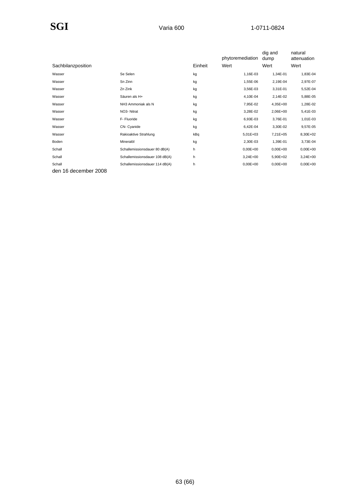|                      |                                |         | phytoremediation | dig and<br>dump | natural<br>attenuation |
|----------------------|--------------------------------|---------|------------------|-----------------|------------------------|
| Sachbilanzposition   |                                | Einheit | Wert             | Wert            | Wert                   |
| Wasser               | Se Selen                       | kg      | 1,16E-03         | 1,34E-01        | 1,83E-04               |
| Wasser               | Sn Zinn                        | kg      | 1,55E-06         | 2,19E-04        | 2,97E-07               |
| Wasser               | Zn Zink                        | kg      | 3,56E-03         | 3,31E-01        | 5,52E-04               |
| Wasser               | Säuren als H+                  | kg      | 4,10E-04         | 2,14E-02        | 5,88E-05               |
| Wasser               | NH3 Ammoniak als N             | kg      | 7,95E-02         | 4,35E+00        | 1,28E-02               |
| Wasser               | NO3- Nitrat                    | kg      | 3,28E-02         | 2,06E+00        | 5,41E-03               |
| Wasser               | F- Fluoride                    | kg      | 6,93E-03         | 3,76E-01        | 1,01E-03               |
| Wasser               | CN-Cyanide                     | kg      | 6,42E-04         | 3,30E-02        | 9,57E-05               |
| Wasser               | Rakioaktive Strahlung          | kBq     | $5,01E+03$       | 7,21E+05        | 8,30E+02               |
| Boden                | Mineralöl                      | kg      | 2,30E-03         | 1,39E-01        | 3,73E-04               |
| Schall               | Schallemissionsdauer 80 dB(A)  | h       | $0,00E + 00$     | $0.00E + 00$    | $0,00E+00$             |
| Schall               | Schallemissionsdauer 108 dB(A) | h       | $3,24E+00$       | 5,90E+02        | 3,24E+00               |
| Schall               | Schallemissionsdauer 114 dB(A) | h       | $0,00E+00$       | $0.00E + 00$    | $0,00E+00$             |
| den 16 december 2008 |                                |         |                  |                 |                        |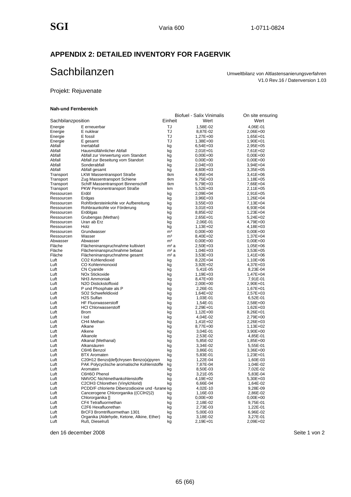#### **APPENDIX 2: DETAILED INVENTORY FOR FAGERVIK**

# Sachbilanzen Umweltbilanz von Altlastensanierungsverfahren

V1.0 Rev.16 / Datenversion 1.03

#### Projekt: Rejuvenate

#### **Nah-und Fernbereich**

|                          |                                                           |                                  | Biofuel - Salix Vinimalis | On site ensuring       |
|--------------------------|-----------------------------------------------------------|----------------------------------|---------------------------|------------------------|
| Sachbilanzposition       |                                                           | Einheit                          | Wert                      | Wert                   |
| Energie                  | E erneuerbar                                              | TJ                               | 1,58E-02                  | 4,06E-01               |
| Energie                  | E nuklear                                                 | TJ                               | 8,87E-02                  | 2,06E+00               |
| Energie                  | E fossil                                                  | TJ                               | 1,27E+00                  | 1,65E+01               |
| Energie                  | E gesamt                                                  | TJ                               | 1,38E+00                  | 1,90E+01               |
| Abfall                   | Inertabfall                                               | kg                               | 6,54E+03                  | 2,95E+05               |
| Abfall                   | Hausmüllähnlicher Abfall                                  | kg                               | 2,01E+01                  | 7,61E+02               |
| Abfall                   | Abfall zur Verwertung vom Standort                        | kg                               | $0,00E+00$                | $0,00E+00$             |
| Abfall<br>Abfall         | Abfall zur Beseitung vom Standort<br>Sonderabfall         | kg                               | $0,00E+00$                | $0,00E+00$             |
| Abfall                   | Abfall gesamt                                             | kg<br>kg                         | 2,04E+03<br>8,60E+03      | 3,94E+04<br>$3,35E+05$ |
| Transport                | <b>LKW Massentransport Straße</b>                         | tkm                              | 4,95E+04                  | 3,41E+06               |
| Transport                | Zug Massentransport Schiene                               | tkm                              | 9,75E+03                  | 1,18E+05               |
| Transport                | Schiff Massentransport Binnenschiff                       | tkm                              | 5,79E+03                  | 7,66E+04               |
| Transport                | PKW Personentransport Straße                              | km                               | 5,52E+03                  | 2,11E+05               |
| Ressourcen               | Erdöl                                                     | kg                               | 2,09E+04                  | 2,91E+05               |
| Ressourcen               | Erdgas                                                    | kg                               | 3,96E+03                  | 1,26E+04               |
| Ressourcen               | Rohfördersteinkohle vor Aufbereitung                      | kg                               | $3,55E+03$                | 7,13E+04               |
| Ressourcen               | Rohbraunkohle vor Förderung                               | kg                               | $3,01E+03$                | 6,93E+04               |
| Ressourcen               | Erdölgas                                                  | kg                               | 8,85E+02                  | 1,23E+04               |
| Ressourcen               | Grubengas (Methan)                                        | kg                               | 2,65E+01                  | 5,24E+02               |
| Ressourcen               | Uran ab Erz                                               | kg                               | 2,06E-01                  | 4,79E+00               |
| Ressourcen               | Holz                                                      | kg                               | 1,13E+02                  | 4,18E+03               |
| Ressourcen<br>Ressourcen | Grundwasser<br>Wasser                                     | m <sup>3</sup>                   | $0,00E+00$                | $0,00E+00$<br>1,37E+04 |
| Abwasser                 | Abwasser                                                  | m <sup>3</sup><br>m <sup>3</sup> | 8,40E+02<br>$0,00E+00$    | $0,00E+00$             |
| Fläche                   | Flächeninanspruchnahme kultiviert                         | m <sup>2</sup> a                 | 2,50E+03                  | 1,05E+06               |
| Fläche                   | Flächeninanspruchnahme bebaut                             | m <sup>2</sup> a                 | $1,04E+03$                | 3,53E+05               |
| Fläche                   | Flächeninanspruchnahme gesamt                             | m <sup>2</sup> a                 | $3,53E+03$                | 1,41E+06               |
| Luft                     | CO2 Kohlendioxid                                          | kg                               | 8,22E+04                  | 1,10E+06               |
| Luft                     | CO Kohlenmonoxid                                          | kg                               | 3,92E+02                  | 4,37E+03               |
| Luft                     | CN Cyanide                                                | kg                               | 5,41E-05                  | 8,23E-04               |
| Luft                     | <b>NOx Stickoxide</b>                                     | kg                               | 1,19E+03                  | 1,47E+04               |
| Luft                     | NH3 Ammoniak                                              | kg                               | 8,47E+00                  | 7,91E-01               |
| Luft                     | N <sub>2</sub> O Distickstoffoxid                         | kg                               | 2,00E+00                  | 2,90E+01               |
| Luft                     | P und Phosphate als P                                     | kg                               | 2,26E-01                  | 1,67E+01               |
| Luft                     | SO2 Schwefeldioxid                                        | kg                               | 1,64E+02                  | 2,57E+03               |
| Luft                     | H <sub>2</sub> S Sulfan                                   | kg                               | 1,03E-01                  | 6,52E-01               |
| Luft<br>Luft             | <b>HF Fluorwasserstoff</b><br><b>HCI Chlorwasserstoff</b> | kg                               | 1,54E-01<br>2,29E+01      | 2,58E+00<br>1,62E+03   |
| Luft                     | <b>Brom</b>                                               | kg<br>kg                         | $1,12E+00$                | 8,26E+01               |
| Luft                     | I lod                                                     | kg                               | 4,04E-02                  | 2,79E+00               |
| Luft                     | CH4 Methan                                                | kg                               | 1,41E+02                  | 2,26E+03               |
| Luft                     | Alkane                                                    | kg                               | 8,77E+00                  | 1,13E+02               |
| Luft                     | Alkene                                                    | kg                               | 3,04E-01                  | 3,90E+00               |
| Luft                     | Alkanole                                                  | kg                               | 2,53E-02                  | 4,85E-01               |
| Luft                     | Alkanal (Methanal)                                        | kg                               | 5,85E-02                  | 1,85E+00               |
| Luft                     | Alkansäuren                                               | kg                               | 3,34E-02                  | 5,55E-01               |
| Luft                     | C6H6 Benzol                                               | kg                               | 3,86E-01                  | 3,36E+00               |
| Luft                     | <b>BTX Aromaten</b>                                       | kg                               | 5,83E-01                  | 1,23E+01               |
| Luft                     | C20H12 Benzo[def]chrysen Benzo(a)pyren                    | kg                               | 1,22E-04                  | 1,60E-03               |
| Luft                     | PAK Polycyclische aromatische Kohlenstoffe                | kg                               | 7,87E-04                  | 1,04E-02               |
| Luft<br>Luft             | Aromaten<br>C6H6O Phenol                                  | kg                               | 8,50E-03                  | 7,02E-02               |
| Luft                     | NMVOC Nichtmethankohlenstoffe                             | kg<br>kg                         | 3,21E-05<br>4,19E+02      | 5,83E-04<br>5,30E+03   |
| Luft                     | C2CIH3 Chlorethen (Vinylchlorid)                          | kg                               | 6,66E-04                  | 1,64E-02               |
| Luft                     | PCDD/F chlorierte Dibenzodioxine und -furane kg           |                                  | 4,02E-10                  | 9,28E-09               |
| Luft                     | Cancerogene Chlororganika ((CCIH2)2)                      | kg                               | 1,16E-03                  | 2,86E-02               |
| Luft                     | Chlororganika []                                          | kg                               | $0,00E+00$                | 0,00E+00               |
| Luft                     | CF4 Tetrafluormethan                                      | kg                               | 2,18E-02                  | 9,75E-01               |
| Luft                     | C2F6 Hexafluorethan                                       | kg                               | 2,73E-03                  | 1,22E-01               |
| Luft                     | BrCF3 Bromtrifluormethan 1301                             | kg                               | 5,00E-03                  | 6,96E-02               |
| Luft                     | Organika (Aldehyde, Ketone, Alkine, Ether)                | kg                               | 3,18E-02                  | 3,27E-01               |
| Luft                     | Ruß, Dieselruß                                            | kg                               | 2,19E+01                  | 2,09E+02               |

den 16 december 2008 **Seite 1 von 2** den 16 december 2008 **Seite 1 von 2**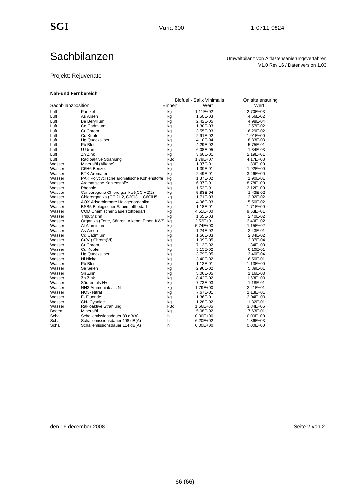V1.0 Rev.16 / Datenversion 1.03

## Sachbilanzen Umweltbilanz von Altlastensanierungsverfahren

#### Projekt: Rejuvenate

#### **Nah-und Fernbereich**

|                    |                                              |         | <b>Biofuel - Salix Vinimalis</b> | On site ensuring |
|--------------------|----------------------------------------------|---------|----------------------------------|------------------|
| Sachbilanzposition |                                              | Einheit | Wert                             | Wert             |
| Luft               | Partikel                                     | kg      | 1,11E+02                         | 2.70E+03         |
| Luft               | As Arsen                                     | kg      | 1,50E-03                         | 4,56E-02         |
| Luft               | Be Beryllium                                 | kg      | 2,42E-05                         | 4,98E-04         |
| Luft               | Cd Cadmium                                   | kg      | 1,30E-03                         | 2,57E-02         |
| Luft               | Cr Chrom                                     | kg      | 3,55E-03                         | 6,29E-02         |
| Luft               | Cu Kupfer                                    | kg      | 2,91E-02                         | 1,01E+00         |
| Luft               | <b>Hg Quecksilber</b>                        | kg      | 4,10E-04                         | 8,33E-03         |
| Luft               | Pb Blei                                      | kg      | 4,29E-02                         | 5,75E-01         |
| Luft               | U Uran                                       | kg      | 6,08E-05                         | 1,34E-03         |
| Luft               | Zn Zink                                      | kg      | 3,60E-01                         | 2,19E+01         |
| Luft               | Radioaktive Strahlung                        | kBq     | 1,79E+07                         | 4,17E+08         |
| Wasser             | Mineralöl (Alkane)                           | kg      | 1,37E-01                         | 1,89E+00         |
| Wasser             | C6H6 Benzol                                  | kg      | 1,39E-01                         | 1,92E+00         |
| Wasser             | <b>BTX Aromaten</b>                          | kg      | 2,49E-01                         | 3,46E+00         |
| Wasser             | PAK Polycyclische aromatische Kohlenstoffe   | kg      | 1,37E-02                         | 1,90E-01         |
| Wasser             | Aromatische Kohlenstoffe                     | kg      | 6,37E-01                         | 8,78E+00         |
| Wasser             | Phenole                                      | kg      | 1,52E-01                         | 2,12E+00         |
| Wasser             | Cancerogene Chlororganika ((CCIH2)2)         | kg      | 5,83E-04                         | 1,43E-02         |
| Wasser             | Chlororganika (CCl2H2, C2Cl3H, C6ClH5,       | kg      | 1,71E-03                         | 3,02E-02         |
| Wasser             | AOX Adsorbierbare Halogenorganika            | kg      | 4,06E-03                         | 5,50E-02         |
| Wasser             | <b>BSB5 Biologischer Sauerstoffbedarf</b>    | kg      | 1,18E-01                         | 1,71E+00         |
| Wasser             | COD Chemischer Sauerstoffbedarf              | kg      | 4,51E+00                         | $9,63E+01$       |
| Wasser             | Tributylzinn                                 | kg      | 1,65E-03                         | 2,40E-02         |
| Wasser             | Organika (Fette, Säuren, Alkene, Ether, KWS, | kg      | 2,53E+01                         | 3,49E+02         |
| Wasser             | Al Aluminium                                 | kg      | 5,74E+00                         | 1,15E+02         |
| Wasser             | As Arsen                                     | kg      | 1,24E-02                         | 2,43E-01         |
| Wasser             | Cd Cadmium                                   | kg      | 1,56E-03                         | 2,34E-02         |
| Wasser             | Cr(VI) Chrom(VI)                             | kg      | 1,09E-05                         | 2,37E-04         |
| Wasser             | Cr Chrom                                     | kg      | 7,12E-02                         | 1,34E+00         |
| Wasser             | Cu Kupfer                                    | kg      | 3,15E-02                         | 6,10E-01         |
| Wasser             | <b>Hg Quecksilber</b>                        | kg      | 3,79E-05                         | 3,40E-04         |
| Wasser             | Ni Nickel                                    | kg      | 3,40E-02                         | 6,50E-01         |
| Wasser             | Pb Blei                                      | kg      | 1,12E-01                         | 1,13E+00         |
| Wasser             | Se Selen                                     | kg      | 2,96E-02                         | 5,89E-01         |
| Wasser             | Sn Zinn                                      | kg      | 5,06E-05                         | 1,16E-03         |
| Wasser             | Zn Zink                                      | kg      | 8,42E-02                         | 1,53E+00         |
| Wasser             | Säuren als H+                                | kg      | 7,73E-03                         | 1,18E-01         |
| Wasser             | NH3 Ammoniak als N                           | kg      | 1,79E+00                         | 2,41E+01         |
| Wasser             | NO <sub>3</sub> - Nitrat                     | kg      | 7,67E-01                         | 1,13E+01         |
| Wasser             | F- Fluoride                                  | kg      | 1,36E-01                         | 2,04E+00         |
| Wasser             | CN- Cyanide                                  | kg      | 1,28E-02                         | 1,82E-01         |
| Wasser             | Rakioaktive Strahlung                        | kBq     | 1,66E+05                         | 3,84E+06         |
| Boden              | Mineralöl                                    | kg      | 5,08E-02                         | 7,63E-01         |
| Schall             | Schallemissionsdauer 80 dB(A)                | h       | $0,00E+00$                       | $0,00E+00$       |
| Schall             | Schallemissionsdauer 108 dB(A)               | h       | 6,20E+02                         | 1,86E+03         |
| Schall             | Schallemissionsdauer 114 dB(A)               | h       | 0,00E+00                         | $0,00E+00$       |
|                    |                                              |         |                                  |                  |

den 16 december 2008 auch den 16 december 2008 auch dem Este 2 von 2